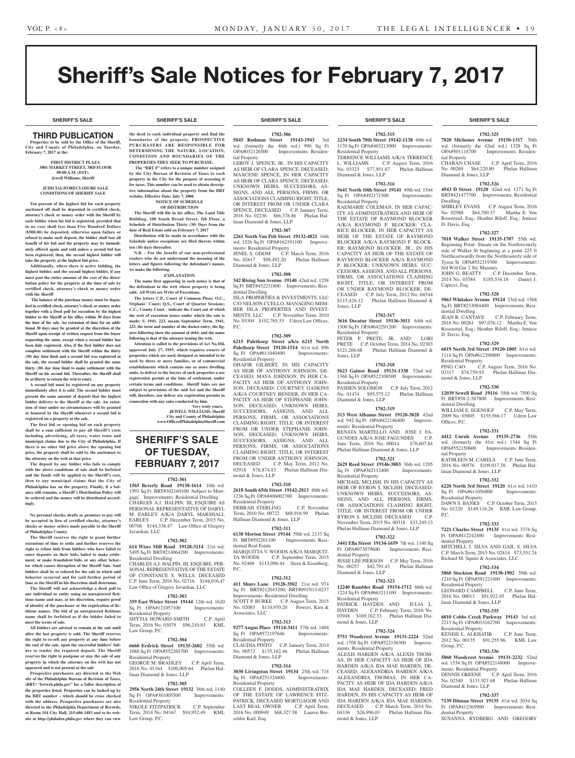# Sheriff's Sale Notices for February 7, 2017

**SHERIFF'S SALE SHERIFF'S SALE SHERIFF'S SALE SHERIFF'S SALE SHERIFF'S SALE**

### **SHERIFF'S SALE SHERIFF'S SALE SHERIFF'S SALE SHERIFF'S SALE SHERIFF'S SALE**

## THIRD PUBLICATION

**Properties to be sold by the Office of the Sheriff, City and County of Philadelphia, on Tuesday, February 7, 2017 at the:** 

#### **FIRST DISTRICT PLAZA 3801 MARKET STREET, 3RD FLOOR 09:00 A.M. (EST). Jewell Williams, Sheriff**

#### **JUDICIAL/FORECLOSURE SALE CONDITIONS OF SHERIFF SALE**

**Ten percent of the highest bid for each property auctioned off shall be deposited in certified check, attorney's check or money order with the Sheriff by each bidder when his bid is registered, provided that in no case shall less than Five Hundred Dollars (\$500.00) be deposited, otherwise upon failure or refusal to make such deposit, the bidder shall lose all benefit of his bid and the property may be immediately offered again and sold unless a second bid has been registered, then, the second highest bidder will take the property at the highest bid price.**

**Additionally, where there is active bidding, the highest bidder, and the second highest bidder, if any must post the entire amount of the cost of the distribution policy for the property at the time of sale by certified check, attorney's check or money order with the Sheriff**

 **The balance of the purchase money must be deposited in certified check, attorney's check or money order together with a Deed poll for execution by the highest bidder to the Sheriff at his office within 30 days from the time of the sale. An extension of time for an additional 30 days may be granted at the discretion of the Sheriff upon receipt of written request from the buyer requesting the same, except when a second bidder has been duly registered. Also, if the first bidder does not complete settlement with the Sheriff within the thirty (30) day time limit and a second bid was registered at the sale, the second bidder shall be granted the same thirty (30) day time limit to make settlement with the Sheriff on his second bid. Thereafter, the Sheriff shall be at liberty to return the writ to court.**

**A second bid must be registered on any property immediately after it is sold. The second bidder must present the same amount of deposit that the highest bidder delivers to the Sheriff at the sale. An extension of time under no circumstances will be granted or honored by the Sheriff whenever a second bid is registered on a property at the sale.** 

**The first bid or opening bid on each property shall be a sum sufficient to pay all Sheriff's costs including advertising, all taxes, water rents and municipal claims due to the City of Philadelphia. If there is no other bid price above the opening bid price, the property shall be sold by the auctioneer to the attorney on the writ at that price.**

**The deposit by any bidder who fails to comply with the above conditions of sale shall be forfeited and the funds will be applied to the Sheriff's cost, then to any municipal claims that the City of Philadelphia has on the property. Finally, if a balance still remains, a Sheriff's Distribution Policy will be ordered and the money will be distributed accordingly.**

#### **No personal checks, drafts or promises to pay will be accepted in lieu of certified checks, attorney's checks or money orders made payable to the Sheriff of Philadelphia County.**

**The Sheriff reserves the right to grant further extensions of time to settle and further reserves the right to refuse bids from bidders who have failed to enter deposits on their bids, failed to make settlement, or make fraudulent bids, or any other behavior which causes disruption of the Sheriff Sale. Said bidders shall be so refused for the sale in which said behavior occurred and for said further period of time as the Sheriff in his discretion shall determine.**

**The Sheriff will not acknowledge a deed poll to any individual or entity using an unregistered fictitious name and may, at his discretion, require proof of identity of the purchaser or the registration of fictitious names. The bid of an unregistered fictitious name shall be forfeited as if the bidder failed to meet the terms of sale.**

**All bidders are advised to remain at the sale until after the last property is sold. The Sheriff reserves the right to re-sell any property at any time before the end of the sale, upon the successful bidders' failure to tender the required deposit. The Sheriff reserves the right to postpone or stay the sale of any property in which the attorney on the writ has not appeared and is not present at the sale**

**Prospective purchasers are directed to the Web site of the Philadelphia Bureau of Revision of Taxes, (BRT) "brtweb.phila.gov" for a fuller description of the properties listed. Properties can be looked up by the BRT number – which should be cross checked with the address. Prospective purchasers are also directed to the Philadelphia Department of Records, at Room 154 City Hall, 215-686-1483 and to its website at http://philadox.phila.gov where they can view** 

**the deed to each individual property and find the boundaries of the property. PROSPECTIVE** 

#### **PURCHASERS ARE RESPONSIBLE FOR DETERMINING THE NATURE, LOCATION, CONDITION AND BOUNDARIES OF THE PROPERTIES THEY SEEK TO PURCHASE.**

 **The "BRT #" refers to a unique number assigned by the City Bureau of Revision of Taxes to each property in the City for the purpose of assessing it for taxes. This number can be used to obtain descriptive information about the property from the BRT website. Effective Date: July 7, 2006 NOTICE OF SCHEDULE** 

## **OF DISTRIBUTION**

**The Sheriff will file in his office, The Land Title Building, 100 South Broad Street, 5th Floor, a Schedule of Distribution Thirty (30) Days from the date of Real Estate sold on February 7, 2017 Distribution will be made in accordance with the Schedule unless exceptions are filed thereto within** 

**ten (10) days thereafter. N.B. - For the benefit of our non-professional readers who do not understand the meaning of the** 

**letters and figures following the defendant's names, we make the following. EXPLANATION**

**The name first appearing in each notice is that of the defendant in the writ whose property is being sold. All Writs are Writs of Executions.**

**The letters C.P., Court of Common Pleas; O.C., Orphans' Court; Q.S., Court of Quarter Sessions; C.C., County Court - indicate the Court out of which the writ of execution issues under which the sale is made: S. 1941. 223. means September Term, 1941. 223, the term and number of the docket entry; the figures following show the amount of debt; and the name following is that of the attorney issuing the writ.**

**Attention is called to the provisions of Act No.104, approved July 27, 1955, which requires owners of properties which are used, designed or intended to be used by three or more families, or of commercial establishments which contain one or more dwelling units, to deliver to the buyers of such properties a use registration permit at the time of settlement, under certain terms and conditions. Sheriff Sales are not subject to provisions of the said Act and the Sheriff will, therefore, not deliver use registration permits in** 

**connection with any sales conducted by him. Very truly yours, JEWELL WILLIAMS, Sheriff City and County of Philadelphia www.OfficeofPhiladelphiaSheriff.com**

## **SHERIFF'S SALE OF TUESDAY, FEBRUARY 7, 2017**

### **1702-301**

**1565 Beverly Road 19138-1614** 10th wd. 1593 Sq Ft BRT#102169100 Subject to Mortgage Improvements: Residential Dwelling CHARLES A.J. HALPIN, III, ESQUIRE AS PERSONAL REPRESENTATIVE OF DARYL M. EARLEY A/K/A DARYL MARSHALL EARLEY C.P. December Term, 2015 No. 00708 \$144,338.47 Law Office of Gregory Javardian, LLC

### **1702-302**

**614 Wises Mill Road 19128-3114** 21st wd. 5495 Sq Ft BRT#214064200 Improvements: Residential Dwelling CHARLES A.J. HALPIN, III, ESQUIRE, PER-SONAL REPRESENTATIVE OF THE ESTATE OF CONSTANCE S. WELLS, DECEASED C.P. June Term, 2016 No. 02716 \$184,016.47 Law Office of Gregory Javardian, LLC

### **1702-303**

**359 East Wister Street 19144** 12th wd. 1620 Sq Ft OPA#121057100 Improvements: Residential Property SHYTIA HOWARD-SMITH C.P. April Term, 2016 No. 03079 \$96,210.83 KML oup, P.C.

### **1702-304**

**6660 Erdrick Street 19135-2602** 55th wd. 1088 Sq Ft OPA#552265700 Improvements: Residential Property GEORGE M. BRADLEY C.P. April Term,

2016 No. 01164 \$100,005.64 Phelan Hallinan Diamond & Jones, LLP

### **1702-305**

**2956 North 24th Street 19132** 38th wd. 1140 Sq Ft OPA#381005500 Residential Property NIKOLE FITZPATRICK C.P. September

Term, 2014 No. 04167 \$94,952.49 KML Law Group, P.C.

## **1702-306**

**5845 Rodman Street 19143-1943** 3rd wd. (formerly the 46th wd.) 990 Sq Ft<br>OPA#032126500 Improvements: Residen-Improvements: Residential Property

LEROY J. SPENCE, JR., IN HIS CAPACITY AS HEIR OF CLARA SPENCE, DECEASED; MAXCENE SPENCE, IN HER CAPACITY AS HEIR OF CLARA SPENCE, DECEASED; UNKNOWN HEIRS, SUCCESSORS, AS-SIGNS, AND ALL PERSONS, FIRMS, OR ASSOCIATIONS CLAIMING RIGHT, TITLE, OR INTEREST FROM OR UNDER CLARA SPENCE, DECEASED C.P. January Term, 2016 No. 02236 \$66,378.86 Phelan Hallinan Diamond & Jones, LLP

### **1702-307**

**2261 North Van Pelt Street 19132-4821** 16th wd. 1526 Sq Ft OPA#162191100 Improvements: Residential Property

JENEL S. ODOM C.P. March Term, 2016 No. 02617 \$98,492.20 Phelan Hallinan Diamond & Jones, LLP

### **1702-308**

**542 Rising Sun Avenue 19140** 42nd wd. 1258 Sq Ft BRT#432231800 Improvements: Residential Dwelling

ISLA PROPERTIES & INVESTMENTS, LLC C/O NELSON CUELLO, MANAGING MEM-BER ISLA PROPERTIES AND INVEST-MENTS, LLC C.P. November Term, 2010 No. 03304 \$192,765.33 Udren Law Offices, P.C.

#### **1702-309**

**6215 Palethorp Street a/k/a 6215 North Palethorp Street 19120-1514** 61st wd. 896 Sq Ft OPA#611040400 Improvements: Residential Property

DHAFIR GILBERT, IN HIS CAPACITY AS HEIR OF ANTHONY JOHNSON, DE-CEASED; MAYA JOHNSON, IN HER CA-PACITY AS HEIR OF ANTHONY JOHN-SON, DECEASED; COURTNEY GASKINS A/K/A COURTNEY BENDER, IN HER CA-PACITY AS HEIR OF STEPHANIE JOHN-SON, DECEASED; UNKNOWN HEIRS, SUCCESSORS, ASSIGNS, AND ALL PERSONS, FIRMS, OR ASSOCIATIONS CLAIMING RIGHT, TITLE, OR INTEREST FROM OR UNDER STEPHANIE JOHN-SON, DECEASED: UNKNOWN HEIRS, SUCCESSORS, ASSIGNS, AND ALL PERSONS, FIRMS, OR ASSOCIATIONS CLAIMING RIGHT, TITLE, OR INTEREST FROM OR UNDER ANTHONY JOHNSON, DECEASED C.P. May Term, 2012 No. 02918 \$78,874.83 Phelan Hallinan Diamond & Jones, LLP

### **1702-310**

**2618 South 65th Street 19142-2813** 40th wd. 1236 Sq Ft OPA#406002700 Improvements: Residential Property DEBRAH STERLING C.P. November

Term, 2010 No. 00722 \$68,916.99 Phelan Hallinan Diamond & Jones, LLP

### **1702-311**

**6138 Morton Street 19144 59th wd. 2133 Sq**<br>Ft BRT#592201100 Improvements: Resi-Improvements: Residential Real Estate MARQUITTA V. WOODS A/K/A MARQUIT-TA WOODS C.P. September Term, 2015 No. 02468 \$113,096.44 Stern & Eisenberg, P.C.

### **1702-312**

**411 Shurs Lane 19128-3502** 21st wd. 974 Sq Ft BRT#212043200; BRT#091N13-0237 Improvements: Residential Dwelling SCOTT P. BURKE C.P. August Term, 2015 No. 02083 \$110,970.20 Powers, Kirn & Associates, LLC

### **1702-313**

**9277 Angus Place 19114-3411** 57th wd. 1404 Sq Ft OPA#572197646 Residential Property CLAUDIA PINTO C.P. January Term, 2014 No. 00572 \$135,162.46 Phelan Hallinan Diamond & Jones, LLP

### **1702-314**

**3030 Livingston Street 19134** 25th wd. 718<br>Sq Ft OPA#251324800 Improvements: Sq Ft OPA#251324800 Residential Property COLLEEN F. DODDS, ADMINISTRATRIX OF THE ESTATE OF LAWRENCE FITZ-PATRICK, DECEASED MORTGAGOR AND LAST REAL OWNER C.P. April Term, 2016 No. 000949 \$68,327.58 Lauren Berschler Karl, Esq.

### **1702-315 2234 South 70th Street 19142-1138** 40th wd. 1170 Sq Ft OPA#403213000 Improvements: Residential Property

TERRENCE WILLIAMS A/K/A TERRENCE L. WILLIAMS C.P. August Term, 2016 No. 03323 \$77,951.87 Phelan Hallinan Diamond & Jones, LLP

### **1702-316**

**5641 North 10th Street 19141** 49th wd. 1544 Sq Ft OPA#492171500 Improvements: Residential Property

RAEMARIE COLEMAN, IN HER CAPAC-ITY AS ADMINISTRATRIX AND HEIR OF THE ESTATE OF RAYMOND BLOCKER A/K/A RAYMOND P. BLOCKER; CLA-RICE BLOCKER, IN HER CAPACITY AS HEIR OF THE ESTATE OF RAYMOND BLOCKER A/K/A RAYMOND P. BLOCK-ER; RAYMOND BLOCKER, JR., IN HIS CAPACITY AS HEIR OF THE ESTATE OF RAYMOND BLOCKER A/K/A RAYMOND P. BLOCKER; UNKNOWN HEIRS, SUC-CESSORS, ASSIGNS, AND ALL PERSONS, FIRMS, OR ASSOCIATIONS CLAIMING RIGHT, TITLE, OR INTEREST FROM OR UNDER RAYMOND BLOCKER, DE-CEASED C.P. July Term, 2012 No. 04544 \$115,426.12 Phelan Hallinan Diamond & Jones, LLP

#### **1702-317 3616 Decatur Street 19136-3011** 64th wd.

1500 Sq Ft OPA#642291200 Improvements: Residential Property PETER P. PRETE, JR. AND LORI PRETE C.P. October Term, 2014 No. 02303 \$121,266.68 Phelan Hallinan Diamond & Jones, LLP

### **1702-318**

**5623 Gainor Road 19131-1330** 52nd wd. 1368 Sq Ft OPA#522108500 Improvements: Residential Property PASHEN SOLOMON C.P. July Term, 2012 No. 01474 \$95,575.12 Phelan Hallinan

Diamond & Jones, LLP **1702-319**

### **313 West Albanus Street 19120-3828** 42nd

wd. 942 Sq Ft OPA#422146400 Improvements: Residential Property RENATA MARTELLO AND JOSE J. FA-<br>GUNDES A/K/A JOSE FAGUNDES C.P. GUNDES A/K/A JOSE FAGUNDES June Term, 2016 No. 00014 \$76,607.84 Phelan Hallinan Diamond & Jones, LLP

## **1702-321**

**2629 Reed Street 19146-3803** 36th wd. 1295 Sq Ft OPA#362112400 Improvements: Residential Property MICHAEL MCLISH, IN HIS CAPACITY AS HEIR OF BYRON S. MCLISH, DECEASED; UNKNOWN HEIRS, SUCCESSORS, AS-SIGNS, AND ALL PERSONS, FIRMS, OR ASSOCIATIONS CLAIMING RIGHT, TITLE, OR INTEREST FROM OR UNDER BYRON S. MCLISH, DECEASED C.P. November Term, 2015 No. 00318 \$33,249.13 Phelan Hallinan Diamond & Jones, LLP

### **1702-322 3441 Ella Street 19134-1659** 7th wd. 1140 Sq

Ft OPA#073079600 Improvements: Residential Property JESSE LEE PIERSON C.P. May Term, 2016 No. 00257 \$42,791.43 Phelan Hallinan Diamond & Jones, LLP

## **1702-323**

**12240 Rambler Road 19154-1712** 66th wd. 1224 Sq Ft OPA#663211100 Improvements: Residential Property PATRICK HAYDEN AND JULIA L. HAYDEN C.P. February Term, 2016 No. 03948 \$169,162.33 Phelan Hallinan Diamond & Jones, LLP

### **1702-324**

**5751 Woodcrest Avenue 19131-2224** 52nd wd. 1708 Sq Ft OPA#522156300 Improvements: Residential Property ALEXIS HARDEN A/K/A ALEXIS THOM-AS, IN HER CAPACITY AS HEIR OF IDA HARDEN A/K/A IDA MAE HARDEN, DE-CEASED; ALEXANDRIA HARDEN A/K/A ALEXANDRIA THOMAS, IN HER CA-

PACITY AS HEIR OF IDA HARDEN A/K/A IDA MAE HARDEN, DECEASED; FRED HARDEN, IN HIS CAPACITY AS HEIR OF IDA HARDEN A/K/A IDA MAE HARDEN, DECEASED C.P. March Term, 2014 No. 04336 \$26,996.03 Phelan Hallinan Diamond & Jones, LLP

### **1702-325**

**7820 Michener Avenue 19150-1317** 50th wd. (formerly the 42nd wd.) 1328 Sq Ft Improvements: Residential Property CHARAN CHASE C.P. April Term, 2016<br>No. 00269 \$64,220.80 Phelan Hallinan Phelan Hallinan Diamond & Jones, LLP

### **1702-326**

**4943 D Street 19120** 42nd wd. 1271 Sq Ft BRT#421477700 Improvements: Residential Dwelling

SHIRLEY EVANS C.P. August Term, 2016<br>No. 02988 \$64,700.37 Martha E. Von No. 02988 \$64,700.37 Rosenstiel, Esq.; Heather Riloff, Esq.; Jeniece D. Davis, Esq.

### **1702-327**

**7018 Walker Street 19135-1707** 55th wd. Beginning Point: Situate on the Northwesterly side of Walker St beginning at a point 225 ft Northeastwardly from the Northeasterly side of Tyson St OPA#552319300 Improvements: S/d W/d Gar 2 Sty Masonry JOHN G. BEATTY C.P. December Term,

2014 No. 03584 \$185,534.18 Daniel J. Capecci, Esq.

## **1702-328**

**5063 Whitaker Avenue 19124** 23rd wd. 1568 Sq Ft BRT#233084400 Improvements: Residential Dwelling JEAN R. CANTAVE C.P. February Term,

2016 No. 00261 \$97,076.12 Martha E. Von Rosenstiel, Esq.; Heather Riloff, Esq.; Jeniece

**1702-329 6019 North 3rd Street 19120-1805** 61st wd. 1118 Sq Ft OPA#612390800 Improvements:

**1702-330 12039 Sewell Road 19116** 35th wd. 7500 Sq Ft BRT#58-2-587800 Improvements: Resi-

WILLIAM E. EGENOLF C.P. May Term, 2009 No. 03805 \$155,566.17 Udren Law

**1702-331 4412 Unruh Avenue 19135-2736** 55th wd. (formerly the 41st wd.) 1344 Sq Ft OPA#552150600 Improvements: Residen-

KATHLEEN M. CARELS C.P. June Term, 2016 No. 00576 \$109,017.38 Phelan Hal-

**1702-332 6220 North 3rd Street 19120** 61st wd. 1410 Sq Ft OPA#611056800 Improvements:

DAWN S. BANKS C.P. October Term, 2013 No. 01220 \$149,116.26 KML Law Group,

**1702-333 7221 Charles Street 19135** 41st wd. 3376 Sq Ft OPA#412242400 Improvements: Resi-

MITCHELL J. SILVA AND GAIL S. SILVA C.P. March Term, 2015 No. 02814 \$73,551.24 Richard M. Squire & Associates, LLC **1702-334 5860 Stockton Road 19138-1902** 59th wd. 1210 Sq Ft OPA#591221400 Improvements:

LEONARD CAMPBELL C.P. June Term, 2016 No. 00013 \$91,922.45 Phelan Hal-

**1702-335 6010 Cobbs Creek Parkway 19143** 3rd wd. 2215 Sq Ft OPA#033162700 Improvements:

KENISE L. ALKHATIB C.P. June Term, 2012 No. 00135 \$91,255.96 KML Law

**1702-336 5860 Woodcrest Avenue 19131-2232** 52nd wd. 1534 Sq Ft OPA#522148000 Improve-

DENNIS GREENE C.P. April Term, 2016 No. 02540 \$131,921.68 Phelan Hallinan

**1702-337 7139 Ditman Street 19135** 41st wd. 2034 Sq Ft OPA#412365900 Improvements: Resi-

SUSANNA RYDBERG AND GREGORY

linan Diamond & Jones, LLP

Residential Property

dential Property

Residential Property

Residential Property

Group, P.C.

linan Diamond & Jones, LLP

ments: Residential Property

Diamond & Jones, LLP

dential Property

C.P. August Term, 2016 No.<br>9.93 Phelan Hallinan Dia-

D. Davis, Esq.

Residential Property<br>PING CAO C.F

03317 \$74,759.93 mond & Jones, LLP

dential Dwelling

Offices, P.C.

tial Property

P.C.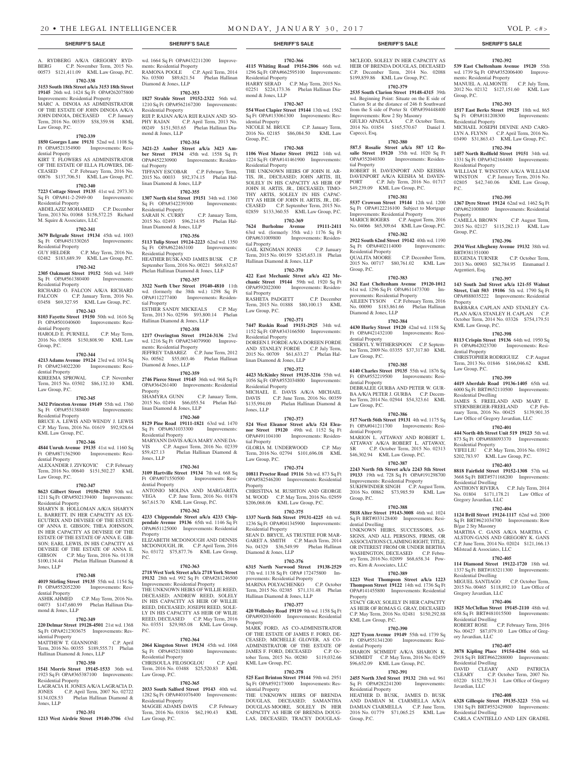ments: Residential Property

Diamond & Jones, LLP

Residential Property

mond & Jones, LLP

linan Diamond & Jones, LLP

linan Diamond & Jones, LLP

Residential Property

Residential Property

tial Property

tial Property

RAMONA POOLE C.P. April Term, 2014 No. 03500 \$89,621.54 Phelan Hallinan

**1702-353 1827 Strahle Street 19152-2322** 56th wd. 1210 Sq Ft OPA#562167200 Improvements:

RIJI P. RAJAN A/K/A RIJI RAJAN AND SO-PHY RAJAN C.P. April Term, 2013 No. 00249 \$151,503.65 Phelan Hallinan Dia-

**1702-354 3421-23 Amber Street a/k/a 3423 Amber Street 19134** 45th wd. 1558 Sq Ft OPA#452230900 Improvements: Residen-

TIFFANY ESCOBAR C.P. February Term, 2015 No. 00033 \$92,374.15 Phelan Hal-

**1702-355 1307 North 61st Street 19151** 34th wd. 1360 Sq Ft OPA#342239300 Improvements:

SARAH N. CURRY C.P. January Term, 2015 No. 02493 \$96,214.95 Phelan Hal-

**1702-356 5113 Tulip Street 19124-2223** 62nd wd. 1350 Sq Ft OPA#622463100 Improvements:

HEATHER BUSK AND JAMES BUSK C.P. September Term, 2016 No. 00221 \$69,632.67 Phelan Hallinan Diamond & Jones, LLP **1702-357 3322 North Uber Street 19140-4810** 11th wd. (formerly the 38th wd.) 1298 Sq Ft OPA#112277400 Improvements: Residen-

ESTHER SANDY MICKEALS C.P. May Term, 2013 No. 02596 \$93,800.14 Phelan

**1702-358 1217 Overington Street 19124-3136** 23rd wd. 1216 Sq Ft OPA#234079900 Improve-

JEFFREY TABAREZ C.P. June Term, 2012 No. 00562 \$55,003.46 Phelan Hallinan

**1702-359**

SHAMYRA GUNN C.P. January Term, 2015 No. 02494 \$66,055.54 Phelan Hal-

**1702-360 8129 Pine Road 19111-1821** 63rd wd. 1470 Sq Ft OPA#631033300 Improvements:

MARYANN DAVIS A/K/A MARY ANNE DA-

**1702-361**

Ft OPA#071550500 Improvements: Resi-

ANTONIO MOLINA AND MARGARITA VEGA C.P. June Term, 2016 No. 01878 \$67,615.70 KML Law Group, P.C. **1702-362 4233 Chippendale Street a/k/a 4233 Chippendale Avenue 19136** 65th wd. 1146 Sq Ft OPA#651125000 Improvements: Residential

ELIZABETH MCDONOUGH AND DENNIS MCDONOUGH, JR. C.P. April Term, 2016 No. 03172 \$75,877.76 KML Law Group,

**1702-363 2718 West York Street a/k/a 2718 York Street 19132** 28th wd. 992 Sq Ft OPA#281246500 Improvements: Residential Property THE UNKNOWN HEIRS OF WILLIE REED, DECEASED; ANDREW REED, SOLELY IN HIS CAPACITY AS HEIR OF WILLIE REED, DECEASED; JOSEPH REED, SOLE-LY IN HIS CAPACITY AS HEIR OF WILIE REED, DECEASED C.P. May Term, 2016

**1702-364**

Sq Ft OPA#452138800 Improvements:

CHRISOULA FILOSOGLOU C.P. April Term, 2016 No. 03488 \$25,520.83 KML

**1702-365**

Hallinan Diamond & Jones, LLP

ments: Residential Property

linan Diamond & Jones, LLP

Residential Property

dential Property

**Property** 

P.C.

 $P C$ 

Diamond & Jones, LLP

A. RYDBERG A/K/A GREGORY RYD-BERG C.P. November Term, 2015 No. 00573 \$121,411.09 KML Law Group, P.C.

### **1702-338**

**3153 South 18th Street a/k/a 3153 18th Street 19145** 26th wd. 1424 Sq Ft OPA#262075800

Improvements: Residential Property MARC A. DINOIA AS ADMINISTRATOR OF THE ESTATE OF JOHN DINOIA A/K/A JOHN DINOIA, DECEASED C.P. January Term, 2016 No. 00339 \$58,359.98 KML Law Group, P.C.

### **1702-339**

**1850 Georges Lane 19131** 52nd wd. 1108 Sq Ft OPA#521354900 Improvements: Residential Property

KIRT T. FLOWERS AS ADMINISTRATOR OF THE ESTATE OF ELLA FLOWERS, DE-CEASED C.P. February Term, 2016 No. 00876 \$137,706.51 KML Law Group, P.C.

### **1702-340**

**7223 Cottage Street 19135** 41st wd. 2973.30 Sq Ft OPA#41-2-2949-00 Improvements: Residential Property ABDELAZIZ MOHAMED C.P. December

Term, 2013 No. 01068 \$158,572.25 Richard M. Squire & Associates, LLC

### **1702-341**

**3679 Belgrade Street 19134** 45th wd. 1003<br>Sq Ft QPA#451330265 Improvements: Sq Ft OPA#451330265 Improvements: Residential Property GUY HELDER C.P. May Term, 2016 No.

## 02482 \$183,689.39 KML Law Group, P.C. **1702-342**

**2305 Oakmont Street 19152** 56th wd. 3449<br>Sq Ft OPA#561380400 Improvements:  $\overline{SA}$  Ft  $OPA#561380400$ Residential Property

RICHARD O. FALCON A/K/A RICHARD FALCON C.P. January Term, 2016 No. 03458 \$69,327.95 KML Law Group, P.C.

### **1702-343**

**8103 Fayette Street 19150** 50th wd. 1616 Sq Ft OPA#501040600 Improvements: Residential Property

HAROLD E. PURNELL C.P. May Term, 2016 No. 03058 \$150,808.90 KML Law Group, P.C.

### **1702-344**

**4213 Adams Avenue 19124** 23rd wd. 1034 Sq Ft OPA#234022200 Improvements: Residential Property KIREEMA SPROWAL C.P. November

#### Term, 2015 No. 03502 \$86,132.10 KML Law Group, P.C. **2746 Pierce Street 19145** 36th wd. 968 Sq Ft OPA#364261400 Improvements: Residential Property

### **1702-345**

**3432 Princeton Avenue 19149** 55th wd. 1760<br>
Sq Ft OPA#551388400 Improvements: Sq Ft OPA#551388400 Residential Property

BRUCE A. LEWIS AND WENDY J. LEWIS C.P. May Term, 2016 No. 01619 \$92,928.64 KML Law Group, P.C.

### **1702-346**

**4844 Unruh Avenue 19135** 41st wd. 1160 Sq Ft OPA#871562900 Improvements: Residential Property ALEXANDER J. ZIVKOVIC C.P. February Term, 2016 No. 00640 \$151,502.27 KML VIS C.P. August Term, 2016 No. 02339 \$59,427.13 Phelan Hallinan Diamond & Jones, LLP **3109 Hartville Street 19134** 7th wd. 668 Sq

Law Group, P.C.

#### **1702-347**

**8623 Gilbert Street 19150-2703** 50th wd. 1211 Sq Ft OPA#502139400 Improvements: Residential Property SHARYN B. HOLLOMAN A/K/A SHARYN L. BARRETT, IN HER CAPACITY AS EX-ECUTRIX AND DEVISEE OF THE ESTATE OF ANNA E. GIBSON; THEA JOHNSON, IN HER CAPACITY AS DEVISEE OF THE ESTATE OF THE ESTATE OF ANNA E. GIB-SON; EARL LEWIS, IN HIS CAPACITY AS DEVISEE OF THE ESTATE OF ANNA E. GIBSON C.P. May Term, 2016 No. 01338 \$100,134.44 Phelan Hallinan Diamond & Jones, LLP

### **1702-348**

**4019 Stirling Street 19135** 55th wd. 1154 Sq Ft OPA#552052200 Improvements: Residential Property

ASHIK AHMED C.P. May Term, 2016 No. 04073 \$147,680.99 Phelan Hallinan Diamond & Jones, LLP

## **1702-349**

**220 Delmar Street 19128-4501** 21st wd. 1368 Ft OPA#212303675 Improvements: Residential Property MATTHEW T. GIANNONE C.P. April No. 03551 \$29,985.08 KML Law Group, **2064 Kingston Street 19134** 45th wd. 1068

### Term, 2016 No. 00355 \$189,555.71 Phelan Hallinan Diamond & Jones, LLP **1702-350**

Jones, LLP

**1541 Morris Street 19145-1533** 36th wd. 1923 Sq Ft OPA#365387100 Improvements: Residential Property LAGRACIA H. JONES A/K/A LAGRACIA D.

**1702-351**

#### JONES C.P. April Term, 2007 No. 02722 \$134,028.53 Phelan Hallinan Diamond & **2033 South Salford Street 19143** 40th wd.

Residential Property

Law Group, P.C.

**1213 West Airdrie Street 19140-3706** 43rd 1282 Sq Ft OPA#401076400 Improvements: Residential Property MAGGIE ADAMS DAVIS C.P. February Term, 2016 No. 01816 \$62,190.43 KML Law Group, P.C.

## wd. 1664 Sq Ft OPA#432211200 Improve-

**4115 Whiting Road 19154-2806** 66th wd. 1296 Sq Ft OPA#662595100 Improvements: Residential Property HARRY SERAD C.P. May Term, 2015 No. 02251 \$224,173.36 Phelan Hallinan Diamond & Jones, LLP

**1702-366**

### **1702-367**

**554 West Clapier Street 19144** 13th wd. 1562 Sq Ft OPA#133061300 Improvements: Residential Property NICOLE M. BRUCE C.P. January Term,

2016 No. 02185 \$86,084.50 KML Law Group, P.C. **1702-368**

**1106 West Master Street 19122** 14th wd. 1224 Sq Ft OPA#141461900 Improvements: Residential Property

THE UNKNOWN HEIRS OF JOHN H. AR-TIS, JR., DECEASED; JOHN ARTIS, III, SOLELY IN HIS CAPACITY AS HEIR OF JOHN H. ARTIS, JR., DECEASED; TIMO-THY ARTIS, SOLELY IN HIS CAPAC-ITY AS HEIR OF JOHN H. ARTIS, JR., DE-CEASED C.P. September Term, 2015 No. 02859 \$133,360.55 KML Law Group, P.C.

### **1702-369 7624 Burholme Avenue 19111-2411**

63rd wd. (formerly 35th wd.) 1176 Sq Ft OPA#631009800 Improvements: Residential Property GAIL KINGMAN JONES C.P. January Term, 2015 No. 00159 \$245,653.18 Phelan Hallinan Diamond & Jones, LLP

### **1702-370**

**422 East Mechanic Street a/k/a 422 Mechanic Street 19144** 59th wd. 1920 Sq Ft OPA#592022000 Improvements: Residential Property RASHETA PADGETT C.P. December

Term, 2015 No. 01888 \$80,100.13 KML Law Group, P.C. **1702-371**

**7447 Ruskin Road 19151-2925** 34th wd. 1152 Sq Ft OPA#343166500 Improvements: Residential Property DOREEN I. FORDE A/K/A DOREEN FORDE AND STANLEY FORDE C.P. July Term, 2015 No. 00709 \$61,633.27 Phelan Hallinan Diamond & Jones, LLP

**1702-372 4423 McKinley Street 19135-3216** 55th wd. 1056 Sq Ft OPA#552034800 Improvements: Residential Property MICHAEL E. DAVIS A/K/A MICHAEL DAVIS C.P. June Term, 2016 No. 00359

\$135,994.09 Phelan Hallinan Diamond & Jones, LLP **1702-373**

**524 West Eleanor Street a/k/a 524 Eleanor Street 19120** 49th wd. 1152 Sq Ft OPA#491104100 Improvements: Residential Property GLORIA M. UNDERWOOD C.P. May Term, 2016 No. 02794 \$101,696.08 KML

Law Group, P.C. **1702-374**

**10811 Proctor Road 19116** 5th wd. 873 Sq Ft OPA#582546200 Improvements: Residential Property

CHRISTINA M. RUSHTON AND GEORGE M. WOOD C.P. May Term, 2016 No. 02959 \$206,068.06 KML Law Group, P.C.

### **1702-375**

**1337 North 56th Street 19131-4225** 4th wd. 1236 Sq Ft OPA#041345900 Improvements: Residential Property SEAN D. BRYCE, AS TRUSTEE FOR MAR-

GARET A. SMITH C.P. March Term, 2014 No. 04329 \$36,549.99 Phelan Hallinan Diamond & Jones, LLP

### **1702-376**

**6315 North Norwood Street 19138-2529**  17th wd. 1138 Sq Ft OPA# 172475800 Improvements: Residential Property MARINA POLYACHENKO C.P. October Term, 2015 No. 02385 \$71,131.48 Phelan Hallinan Diamond & Jones, LLP

### **1702-377**

**420 Wellesley Road 19119** 9th wd. 1158 Sq Ft OPA#092034600 Improvements: Residential Property

MARK FORD, AS CO-ADMINISTRATOR OF THE ESTATE OF JAMES F. FORD, DE-CEASED; MICHELLE GLOVER, AS CO-ADMINISTRATOR OF THE ESTATE OF JAMES F. FORD, DECEASED C.P. October Term, 2015 No. 00280 \$119,032.66 KML Law Group, P.C.

### **1702-378**

**525 East Brinton Street 19144** 59th wd. 2951 Sq Ft OPA#592173000 Improvements: Residential Property

THE UNKNOWN HEIRS OF BRENDA DOUGLAS, DECEASED; SAMANTHA DOUGLAS-MOORE, SOLELY IN HER CAPACITY AS HEIR OF BRENDA DOUG-LAS, DECEASED; TRACEY DOUGLAS-

### **SHERIFF'S SALE SHERIFF'S SALE SHERIFF'S SALE SHERIFF'S SALE SHERIFF'S SALE**

MCLEOD, SOLELY IN HER CAPACITY AS HEIR OF BRENDA DOUGLAS, DECEASED C.P. December Term, 2014 No. 02088 \$199,859.86 KML Law Group, P.C.

### **1702-379 2535 South Clarion Street 19148-4315** 39th

**1702-392 539 East Cheltenham Avenue 19120** 55th wd. 1739 Sq Ft OPA#352006400 Improve-

MANUEL A. ALMONTE C.P. July Term, 2012 No. 02132 \$127,151.60 KML Law

**1702-393 1517 East Berks Street 19125** 18th wd. 865 Sq Ft OPA#181208300 Improvements:

MICHAEL JOSEPH DEVINE AND CARO-LYN A. FLYNN C.P. April Term, 2016 No. 03490 \$31,863.43 KML Law Group, P.C. **1702-394 1457 North Redfield Street 19151** 34th wd. 1331 Sq Ft OPA#342164400 Improvements:

WILLIAM T. WINSTON A/K/A WILLIAM WINSTON C.P. January Term, 2016 No. 02805 \$42,740.06 KML Law Group,

**1702-395 1367 Dyre Street 19124** 62nd wd. 1462 Sq Ft OPA#621008800 Improvements: Residential

2015 No. 02127 \$115,282.13 KML Law

**1702-396 2934 West Allegheny Avenue 19132** 38th wd.

2013 No. 00903 \$82,784.95 Emmanuel J.

**1702-397 143 South 2nd Street a/k/a 121-55 Walnut Street, Unit 503 19106** 5th wd. 1790 Sq Ft OPA#888035222 Improvements: Residential

BARBARA CAPLAN AND STANLEY CA-PLAN A/K/A STANLEY H. CAPLAN C.P. October Term, 2014 No. 03326 \$754,179.51

**1702-398 8113 Crispin Street 19136** 64th wd. 1950 Sq Ft OPA#642023700 Improvements: Resi-

CHRISTOPHER RODRIGUEZ C.P. August Term, 2013 No. 01846 \$166,046.62 KML

**1702-399 4419 Aberdale Road 19136-1405** 65th wd. 6000 Sq Ft BRT#652110500 Improvements:

JAMES S. FREELAND AND MARY E. STERNBERGER-FREELAND C.P. February Term, 2016 No. 00425 \$139,901.35 Law Office of Gregory Javardian, LLC **1702-401 444 North 4th Street Unit 519 19123** 5th wd. 873 Sq Ft OPA#888093370 Improvements:

YIFEI LIU C.P. May Term, 2016 No. 03912 \$202,783.97 KML Law Group, P.C. **1702-403 8818 Fairfield Street 19152-1308** 57th wd. 3668 Sq Ft BRT#571168200 Improvements:

ANTHONY RIVERA C.P. July Term, 2014 No. 01804 \$171,178.21 Law Office of

**1702-404 1124 Brill Street 19124-1117** 62nd wd. 2000 Sq Ft BRT#621034700 Improvements: Row

MARTHA C. GANS A/K/A MARTHA C. ALSTON-GANS AND GREGORY K. GANS C.P. June Term, 2014 No. 02024 \$121,166.13

**1702-405 114 Diamond Street 19122-1720** 18th wd. 1337 Sq Ft BRT#183211300 Improvements:

MIGUEL SANTIAGO C.P. October Term, 2015 No. 00465 \$118,892.10 Law Office of

**1702-406 1825 McClellan Street 19145-2110** 48th wd. 658 Sq Ft BRT#481015500 Improvements:

ROBERT ROSE C.P. February Term, 2016 No. 00427 \$87,079.10 Law Office of Gr

**1702-407 3878 Kipling Place 19154-4204** 66th wd. 2918 Sq Ft BRT#662288000 Improvements:

DAVID CLEARY AND PATRICIA CLEARY C.P. October Term, 2007 No. CLEARY C.P. October Term, 2007 No.<br>03220 \$152,759.31 Law Office of Gregory

**1702-408 6328 Gillespie Street 19135-3223** 55th wd. 1381 Sq Ft BRT#552429800 Improvements:

CARLA CANTIELLO AND LEN GRADEL

C.P. August Term,

C.P. October Term,

ments: Residential Property

Group, P.C.

Residential Property

Residential Property

Property<br>CAMILLA BROWN

BRT#381351000<br>EUGENIA TURNER

KML Law Group, P.C.

dential Property

Law Group, P.C.

Residential Dwelling

Residential Property

Residential Dwelling

Gregory Javardian, LLC

B/gar 2 Sty Masonry

Residential Dwelling

Gregory Javardian, LLC

Residential Dwelling

ory Javardian, LLC

Residential Dwelling

Residential Dwelling

Javardian, LLC

Milstead & Associates, LLC

Argentieri, Esq.

Property

Group, P.C.

P.C.

wd. Beginning Point: Situate on the E side of Clarion St at the distance of 246 ft Southward from the S side of Porter St OPA#394448400 Improvements: Row 2 Sty Masonry GIULIO APADULA C.P. October Term, 2014 No. 01854 \$165,570.67 Daniel J. Capecci, Esq.

### **1702-380**

**587.5 Rosalie Street a/k/a 587 1/2 Rosalie Street 19120** 35th wd. 1020 Sq Ft OPA#352040300 Improvements: Residential Property ROBERT H. DAVENPORT AND KEISHA DAVENPORT A/K/A KEISHA M. DAVEN-PORT C.P. July Term, 2016 No. 01717

\$49,239.09 KML Law Group, P.C. **1702-381 5537 Crowson Street 19144** 12th wd. 1200

Sq Ft OPA#122216100 Subject to Mortgage Improvements: Residential Property MARICE ROGERS C.P. August Term, 2016 No. 04066 \$65,309.64 KML Law Group, P.C.

### **1702-382 2922 South 62nd Street 19142** 40th wd. 1190

Sq Ft OPA#402114000 Improvements: Residential Property QUALITA MOORE C.P. December Term, 2015 No. 00717 \$80,761.02 KML Law Group, P.C.

### **1702-383**

**262 East Cheltenham Avenue 19120-1012**  61st wd. 1296 Sq Ft OPA#611473700 Improvements: Residential Property AILEEN TYSON C.P. February Term, 2016 No. 00090 \$183,861.66 Phelan Hallinan Diamond & Jones, LLP

## **1702-384**

**4430 Hurley Street 19120** 42nd wd. 1158 Sq Ft OPA#421432100 Improvements: Residential Property CHERYL Y. WITHERSPOON C.P. September Term, 2009 No. 03355 \$37,317.80 KML Law Group, P.C.

### **1702-385**

**6140 Charles Street 19135** 55th wd. 1876 Sq Ft OPA#552219500 Improvements: Residential Property DEBRALEE GURBA AND PETER W. GUR-BA A/K/A PETER J. GURBA C.P. Decem-

ber Term, 2014 No. 02944 \$54,323.61 KML Law Group, P.C. **1702-386**

### **517 North 56th Street 19131** 4th wd. 1175 Sq

Ft OPA#041211700 Improvements: Residential Property MARION L. ATTAWAY AND ROBERT L. ATTAWAY A/K/A ROBERT L. ATTAWAY,

SR C.P. October Term, 2015 No. 02313 \$46,302.94 KML Law Group, P.C. **1702-387**

### **2243 North 5th Street a/k/a 2243 5th Street**

**19133** 19th wd. 728 Sq Ft OPA#191298700 Improvements: Residential Property SUKHWINDER SINGH C.P. August Term, 2016 No. 00862 \$73,985.59 KML Law Group, P.C.

### **1702-388**

**5818 Alter Street 19143-3008** 46th wd. 1024 Sq Ft BRT#033128400 Improvements: Residential Dwelling UNKNOWN HEIRS, SUCCESSORS, AS-SIGNS, AND ALL PERSONS, FIRMS, OR ASSOCIATIONS CLAIMING RIGHT, TITLE, OR INTEREST FROM OR UNDER BERTHA

WASHINGTON, DECEASED C.P. February Term, 2016 No. 02099 \$68,658.34 Powers, Kirn & Associates, LLC

**Thompson Street 19122** 14th wd. 1736 Sq Ft OPA#141455800 Improvements: Residential

STACY GRAY, SOLELY IN HER CAPACITY AS HEIR OF ROMAS G. GRAY, DECEASED C.P. May Term, 2016 No. 02481 \$150,292.88

**1702-390 3227 Tyson Avenue 19149** 55th wd. 1739 Sq Ft OPA#551341200 Improvements: Resi-

SHARON SCHMIDT A/K/A SHARON K. SCHMIDT C.P. May Term, 2016 No. 02459 \$96,652.09 KML Law Group, P.C. **1702-391 2455 North 33rd Street 19132** 28th wd. 961 Sq Ft OPA#282241200 Improvements:

HEATHER D. BUSK, JAMES D. BUSK AND DAMIAN M. CIARMELLA A/K/A DAMIAN CIARMELLA C.P. June Term, 2016 No. 01779 \$71,065.25 KML Law

### **1702-389 1223 West Thompson Street a/k/a 1223**

Property

KML Law Group, P.C.

dential Property

Residential Property

Group, P.C.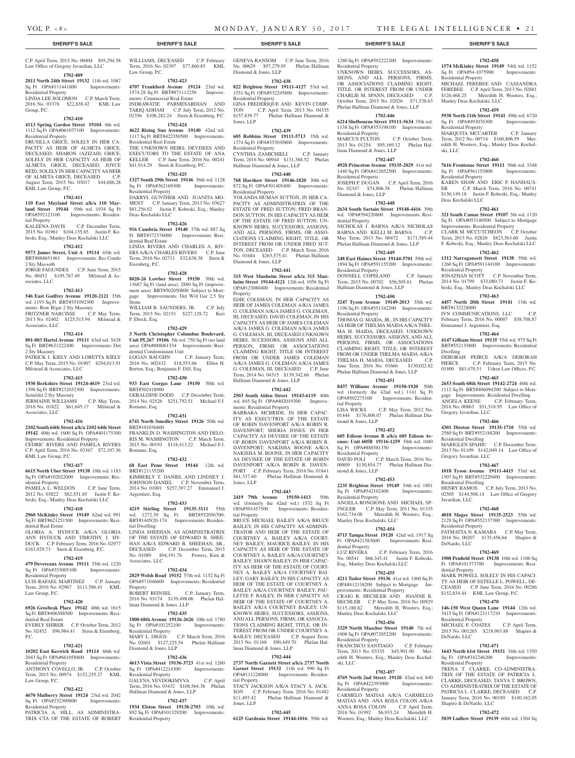### **SHERIFF'S SALE SHERIFF'S SALE SHERIFF'S SALE SHERIFF'S SALE SHERIFF'S SALE**

ments: Commercial Real Estate

Residential Real Estate

Residential Property

Deas Kochalski LLC

dential Real Estate

Eisenberg, P.C.

P. Ebeck, Esq.

Stone

Law Group, P.C.

WILLIAMS, DECEASED C.P. February Term, 2016 No. 02397 \$77,860.85 KML

**1702-423 4707 Frankford Avenue 19124** 23rd wd. 1574.28 Sq Ft BRT#871112250 Improve-

INDRAWATIE PARMESARDIAN AND TARIQ ADHAM C.P. July Term, 2012 No. 02356 \$108,282.24 Stern & Eisenberg, P.C. **1702-424 4622 Rising Sun Avenue 19140** 42nd wd. 1117 Sq Ft BRT#422350500 Improvements:

THE UNKNOWN HEIRS, DEVISEES AND EXECUTORS TO THE ESTATE OF ANA KELLER C.P. June Term, 2016 No. 00241 \$41,914.29 Stern & Eisenberg, P.C. **1702-425 1327 South 29th Street 19146** 36th wd. 1128 Sq Ft OPA#362169300 Improvements:

DARRYL GUNTHER AND JUANITA MO-MENT C.P. January Term, 2013 No. 03627 \$81,256.02 Justin F. Kobeski, Esq.; Manley

**1702-426 916 Cambria Street 19140** 37th wd. 887 Sq Ft BRT#372376000 Improvements: Resi-

LINDA RIVERS AND CHARLES A. RIV-ERS A/K/A CHARLES RIVERS C.P. June Term, 2016 No. 02711 \$32,638.38 Stern &

**1702-428 8020-26 Lowber Street 19150** 50th wd. 13687 Sq Ft (land area); 2880 Sq Ft (improvement area) BRT#502050800 Subject to Mortgage Improvements: Det W/d Gar 2.5 Sty

WILLIAM B. SAUNDERS, JR. C.P. July Term, 2015 No. 02151 \$227,128.72 Keri

**1702-429 3 North Christopher Columbus Boulevard, Unit PL267 19106** 5th wd. 750 Sq Ft (no land area) OPA#888061334 Improvements: Resi-

LOGAN BAUGHN C.P. January Term, 2016 No. 002432 \$18,553.66 Elliot H. Berton, Esq.; Benjamin F. Dill, Esq. **1702-430**

C.P. April Term, 2015 No. 00404 \$95,294.58 Law Office of Gregory Javardian, LLC **1702-409**

## **2811 North 24th Street 19132** 11th wd. 1087

Sq Ft OPA#111441800 Improvements: Residential Property LINDA LEE SOLOMON C.P. March Term, 2016 No. 03378 \$22,838.42 KML Law Group, P.C.

#### **1702-410**

### **4113 Spring Garden Street 19104** 6th wd. 1112 Sq Ft OPA#061037100 Improvements: Residential Property

DRUSILLA GRICE, SOLELY IN HER CA-PACITY AS HEIR OF ALMETA GRICE, DECEASED; SHARON (AZIZAH) GRICE, SOLELY IN HER CAPACITY AS HEIR OF ALMETA GRICE, DECEASED; JOYCE REID, SOLELY IN HER CAPACITY AS HEIR OF ALMETA GRICE, DECEASED C.P. August Term, 2015 No. 03017 \$44,686.28 KML Law Group, P.C.

#### **1702-411**

**110 East Mayland Street a/k/a 110 Mayland Street 19144** 59th wd. 1934 Sq Ft OPA#592123100 Improvements: Residential Property

KALEENA DAVIS C.P. December Term, 2015 No. 01961 \$104,135.65 Justin F. Kobeski, Esq.; Manley Deas Kochalski LLC

### **1702-412**

**9573 James Street, Unit A 19114** 65th wd. BRT#888651461 Improvements: Res Condo 2 Sty Mas+oth

JORGE FAGUNDES C.P. June Term, 2015 No. 00452 \$195,787.49 Milstead & Associates, LLC

#### **1702-413**

**546 East Godfrey Avenue 19120-2121** 35th wd. 1193 Sq Ft BRT#351092300 Improvements: Row B/gar 2 Sty Masonry FRITZNER NARCISSE C.P. May Term, 2013 No. 02402 \$125,515.94 Milstead &

Associates, LLC **1702-414**

Semi/det 2 Sty Masonry

KML Law Group, P.C.

idential Property<br>PAMELA L. WELDON

dential Real Estate

Residential Property

Law Group, P.C.

dential Real Estate

Residential Property

Law Group, P.C.

Residential Property

P.C.

Associates, LLC

**801-803 Hartel Avenue 19111** 63rd wd. 5438 Sq Ft BRT#631222400 Improvements: Det 2 Sty Masonry PATRICK J. KIELY AND LORETTA KIELY

C.P. May Term, 2015 No. 01907 \$294,013.91 Milstead & Associates, LLC

**1702-416 2102 South 64th Street a/k/a 2102 64th Street 19142** 40th wd. 1600 Sq Ft OPA#401175300 Improvements: Residential Property CEDRIC RIVERS AND PAMELA RIVERS C.P. April Term, 2016 No. 03367 \$72,107.36

**1702-417 6615 North Uber Street 19138** 10th wd. 1183 Sq Ft OPA#102022000 Improvements: Res-

PAMELA L. WELDON C.P. June Term, 2012 No. 03822 \$82,551.85 Justin F. Kobeski, Esq.; Manley Deas Kochalski LLC **1702-418 2960 McKinley Street 19149** 62nd wd. 991 Sq Ft BRT#621251500 Improvements: Resi-

GLORIA A. HYDUCK A/K/A GLORIA ANN HYDUCK AND TIMOTHY J. HY-DUCK C.P. February Term, 2016 No. 02977 \$163,929.73 Stern & Eisenberg, P.C. **1702-419 479 Devereaux Avenue 19111** 35th wd. 1220 Sq Ft OPA#353005100 Improvements:

LUIS RAFAEL MARTINEZ C.P. January Term, 2016 No. 02967 \$111,586.41 KML

**1702-420 6926 Grosbeak Place 19142** 40th wd. 1615 Sq Ft BRT#406588500 Improvements: Resi-

EVERLY SHIRER C.P. October Term, 2012 . 02452 \$96,984.41 Stern & Eisenbe

**1702-421 10202 East Keswick Road 19114** 66th wd. 2043 Sq Ft OPA#661058800 Improvements:

ANTHONY COVELLO, JR. C.P. October Term, 2015 No. 00974 \$152,255.27 KML

**1702-422 4670 Mulberry Street 19124** 23rd wd. 2042 Sq Ft OPA#232309800 Improvements:

PATRICIA A. HILL, AS ADMINISTRA-TRIX CTA OF THE ESTATE OF ROBERT

### **1702-415 1930 Berkshire Street 19124-4619** 23rd wd.

1396 Sq Ft BRT#232032300 Improvements: JERMAINE WILLIAMS C.P. May Term, 2016 No. 01822 \$61,645.17 Milstead & **933 East Gorgas Lane 19150** 50th wd. BRT#502418900 GERALDINE DODD C.P. December Term, 2014 No. 02526 \$251,792.51 Michael F.J. Romano, Esq.

dential Condominium Unit

### **1702-431**

**6741 North Smedley Street 19126** 50th wd. BRT#101036800 FRANKLIN D. WASHINGTON AND DELO-RIS M. WASHINGTON C.P. March Term, 2015 No. 00193 \$118,413.22 Michael F.J. Romano, Esq.

### **1702-432**

**68 East Penn Street 19144** 12th wd. BRT#121135200 KIMBERLY T. DANIEL AND LINDSEY J. JOHNSON-DANIEL C.P. November Term, 2014 No. 01001 \$257,397.27 Emmanuel J. Argentieri, Esq.

### **1702-433**

**4219 Stirling Street 19135-3111** 55th wd. 1272.39 Sq Ft BRT#552056700; BRT#144N20-174 Improvements: Residential Dwelling LINDA SHEEHAN, AS ADMINISTRATRIX

OF THE ESTATE OF EDWARD B. SHEE-HAN A/K/A EDWARD B. SHEEHAN, SR., DECEASED C.P. December Term, 2015 No. 01089 \$94,191.76 Powers, Kirn & Associates, LLC

### **1702-434**

**2829 Welsh Road 19152** 57th wd. 1152 Sq Ft OPA#571046600 Improvements: Residential Property

ROBERT REINSEL C.P. January Term, 2016 No. 03174 \$139,498.06 Phelan Hal-

### linan Diamond & Jones, LLP **1702-435**

**1800 68th Avenue 19126-2626** 10th wd. 1780 Sq Ft OPA#101252100 Improvements: Residential Property MARY L. DIGGS C.P. March Term, 2016 No. 02601 \$127,225.54 Phelan Hallinan Diamond & Jones, LLP

### **1702-436**

**4613 Vista Street 19136-3723** 41st wd. 1260 Sq Ft OPA#412214300 Improvements: Residential Property GALYNA YEVDOKIMYVA C.P. April Term, 2016 No. 03432 \$108,564.38 Phelan Hallinan Diamond & Jones, LLP

### **1702-437**

**1934 Elston Street 19138-2703** 10th wd. 892 Sq Ft OPA#101329200 Improvements: Residential Property

GENEVA RANSOM C.P. June Term, 2016 No. 00629 \$97,279.95 Phelan Hallinan Diamond & Jones, LLP

### **1702-438**

**822 Brighton Street 19111-4127** 53rd wd. 1551 Sq Ft OPA#532245800 Improvements: Residential Property GINA FREDERIQUE AND KEVIN COMP-TON C.P. April Term, 2013 No. 04335 \$157,839.77 Phelan Hallinan Diamond & Jones, LLP

### **1702-439**

**605 Robbins Street 19111-5713** 35th wd. 1374 Sq Ft OPA#353030800 Improvements: Residential Property CYNTHIA ZAMICHIELI C.P. January Term, 2016 No. 00944 \$131,388.52 Phelan Hallinan Diamond & Jones, LLP

### **1702-440**

**768 Harshaw Street 19146-1820** 30th wd. 872 Sq Ft OPA#301405400 Improvements: Residential Property YOLANDA HUMAN SUTTON, IN HER CA-PACITY AS ADMINISTRATRIX OF THE ESTATE OF FRED SUTTON; FRED BRAN-DON SUTTON, IN HIS CAPACITY AS HEIR OF THE ESTATE OF FRED SUTTON; UN-KNOWN HEIRS, SUCCESSORS, ASSIGNS, AND ALL PERSONS, FIRMS, OR ASSO-CIATIONS CLAIMING RIGHT, TITLE, OR INTEREST FROM OR UNDER FRED SUT-TON, DECEASED C.P. March Term, 2016 No. 01684 \$263,575.41 Phelan Hallinan Diamond & Jones, LLP

### **1702-441**

**315 West Manheim Street a/k/a 315 Manheim Street 19144-4121** 12th wd. 1056 Sq Ft OPA#123080400 Improvements: Residential **Property** 

EDIE COLEMAN, IN HER CAPACITY AS HEIR OF JAMES COLEMAN A/K/A JAMES G. COLEMAN A/K/A JAMES G. COLEMAN, III, DECEASED; DAVID COLEMAN, IN HIS CAPACITY AS HEIR OF JAMES COLEMAN A/K/A JAMES G. COLEMAN A/K/A JAMES G. COLEMAN, III, DECEASED;UNKNOWN HEIRS, SUCESSORS, ASSIGNS AND ALL PERSON, FIRMS OR ASSOCIATIONS CLAIMING RIGHT, TITLE OR INTEREST FROM OR UNDER JAMES COLEMAN A/K/A JAMES G. COLEMAN A/K/A JAMES G. COLEMAN, III, DECEASED C.P. June Term, 2014 No. 04315 \$139,342.66 Phelan Hallinan Diamond & Jones, LLP

### **1702-442**

**2503 South Alden Street 19143-6119** 40th wd. 845 Sq Ft OPA#402019300 Improvements: Residential Property

BARBARA MCBRIDE, IN HER CAPAC-ITY AS EXECUTRIX OF THE ESTATE OF ROBIN DAVENPORT A/K/A ROBIN R. DAVENPORT; SHERIA JONES, IN HER CAPACITY AS DEVISEE OF THE ESTATE OF ROBIN DAVENPORT A/K/A ROBIN R. DAVENPORT; NAKISHA BOONE A/K/A NAKISHA M. BOONE, IN HER CAPACITY AS DEVISEE OF THE ESTATE OF ROBIN DAVENPORT A/K/A ROBIN R. DAVEN-PORT C.P. February Term, 2016 No. 01841 \$61,337.60 Phelan Hallinan Diamond & Jones, LLP

### **1702-443**

**2419 79th Avenue 19150-1413** 50th wd. (formerly the 42nd wd.) 1532 Sq Ft OPA#501457500 Improvements: Residential Property

BRUCE MICHAEL BAILEY A/K/A BRUCE BAILEY, IN HIS CAPACITY AS ADMINIS-TRATOR AND HEIR OF THE ESTATE OF COURTNEY A. BAILEY A/K/A COURT-NEY BAILEY; MAURICE BAILEY, IN HIS CAPACITY AS HEIR OF THE ESTATE OF COURTNEY A. BAILEY A/K/A COURTNEY BAILEY; SHAWN BAILEY, IN HER CAPAC-ITY AS HEIR OF THE ESTATE OF COURT-NEY A. BAILEY A/K/A COURTNEY BAI-LEY: GARY BAILEY, IN HIS CAPACITY AS HEIR OF THE ESTATE OF COURTNEY A. BAILEY A/K/A COURTNEY BAILEY; PAU-LETTE P. BAILEY, IN HER CAPACITY AS HEIR OF THE ESTATE OF COURTNEY A. BAILEY A/K/A COURTNEY BAILEY; UN-KNOWN HEIRS, SUCCESSORS, ASSIGNS, AND ALL PERSONS, FIRMS, OR ASSOCIA-TIONS CLAIMING RIGHT, TITLE, OR IN-TEREST FROM OR UNDER COURTNEY A. BAILEY, DECEASED C.P. August Term, 2013 No. 01168 \$90,449.70 Phelan Hallinan Diamond & Jones, LLP

### **1702-444**

**2737 North Garnett Street a/k/a 2737 North Garnet Street 19132** 11th wd. 990 Sq Ft OPA#111228000 Improvements: Residential Property

### STACY JACKSON A/K/A STACY A. JACK-SON C.P. February Term, 2016 No. 01482<br>\$11,493.42 Phelan Hallinan Diamond & Phelan Hallinan Diamond & Jones, LLP

### **1702-445**

**6125 Gardenia Street 19144-1016** 59th wd.

1280 Sq Ft OPA#592222200 Improvements: Residential Property UNKNOWN HEIRS, SUCCESSORS, AS-SIGNS, AND ALL PERSONS, FIRMS, OR ASSOCIATIONS CLAIMING RIGHT TITLE, OR INTEREST FROM OR UNDER CHARLIE M. SPANN, DECEASED C.P. October Term, 2015 No. 02026 \$71,538.63 Phelan Hallinan Diamond & Jones, LLP

### **1702-446**

**6214 Shelbourne Street 19111-5634** 35th wd. 1138 Sq Ft OPA#353198100 Improvements: Residential Property MARCUS FULTON C.P. October Term, 2013 No. 01254 \$95,169.12 Phelan Hallinan Diamond & Jones, LLP

### **1702-447**

**4928 Princeton Avenue 19135-2029** 41st wd. 1440 Sq Ft OPA#412052500 Improvements: Residential Property JOSEPH P. DUGAN C.P. April Term, 2016 No. 02347 \$74,806.38 Phelan Hallinan Diamond & Jones, LLP

### **1702-448**

**2634 South Sartain Street 19148-4416** 39th wd. OPA#394220800 Improvements: Residential Property NICHOLAS J. BARNA A/K/A NICHOLAS BARNA AND KELLI M. BARNA C.P. May Term, 2013 No. 00472 \$171,589.44 Phelan Hallinan Diamond & Jones, LLP

## **1702-449**

**248 East Haines Street 19144-5701** 59th wd. 1894 Sq Ft OPA#591155200 Improvements: Residential Property DONNELL COPELAND C.P. January Term, 2015 No. 00702 \$56,505.61 Phelan

## **1702-450**

Hallinan Diamond & Jones, LLP

**3247 Tyson Avenue 19149-2013** 55th wd. 1196 Sq Ft OPA#551342200 Improvements: Residential Property THOMAS G. MAIDA, JR., IN HIS CAPACITY AS HEIR OF THELMA MAIDA A/K/A THEL-MA H. MAIDA, DECEASED; UNKNOWN HEIRS, SUCCESSORS, ASSIGNS, AND ALL PERSONS, FIRMS, OR ASSOCIATIONS CLAIMING RIGHT, TITLE, OR INTEREST FROM OR UNDER THELMA MAIDA A/K/A THELMA H. MAIDA, DECEASED C.P. June Term, 2016 No. 01666 \$130,022.82 Phelan Hallinan Diamond & Jones, LLP

### **1702-451**

**8437 Williams Avenue 19150-1920** 50th wd. (formerly the 42nd wd.) 1141 Sq Ft OPA#502275100 Improvements: Residential Property C.P. May Term, 2012 No.

01444 \$176,806.07 Phelan Hallinan Diamond & Jones, LLP **1702-452**

**605 Edison Avenue B a/k/a 605 Edison Avenue: Unit 605B 19116-1259** 58th wd. 1040 Sq Ft OPA#888581350 Improvements: Residential Property DAVID POLI C.P. March Term, 2016 No.

00809 \$130,854.77 Phelan Hallinan Diamond & Jones, LLP

### **1702-453**

**2235 Brighton Street 19149** 54th wd. 1801 Sq Ft OPA#542102400 Improvements: Residential Property ANGELA RONGIONE AND MICHAEL SP-INGLER C.P. May Term, 2011 No. 01335 \$162,734.08 Meredith H. Wooters, Esq.; Manley Deas Kochalski, LLC

### **1702-454**

**4715 Tampa Street 19120** 42nd wd. 1917 Sq Ft OPA#421583600 Improvements: Residential Property

LUZ RIVERA C.P. February Term, 2016 No. 00541 \$66,345.41 Justin F. Kobeski, Esq.; Manley Deas Kochalski LLC

### **1702-455**

**4211 Tudor Street 19136** 41st wd. 1460 Sq Ft OPA#412138200 Subject to Mortgage Improvements: Residential Property CRAIG R. HECHLER AND JOANNE K. HECHLER C.P. May Term, 2016 No. 00929 \$115,188.82 Meredith H. Wooters, Esq.; Manley Deas Kochalski, LLC

### **1702-456**

**3329 North Mascher Street 19140** 7th wd. 1008 Sq Ft OPA#072052200 Improvements: Residential Property

FRANCISCO SANTIAGO C.P. February Term, 2013 No. 03335 \$45,901.90 Meredith H. Wooters, Esq.; Manley Deas Kochalski, LLC

### **1702-457**

**4769 North 2nd Street 19120** 42nd wd. 840 Sq Ft OPA#422393000 Improvements: Residential Property

CARMELO MATIAS A/K/A CARMELLO MATIAS AND ANA ROSA COLON A/K/A ANNA ROSA COLON C.P. April Term, 2016 No. 01992 \$6,933.24 Meredith H. Wooters, Esq.; Manley Deas Kochalski, LLC

### **1702-458**

**1574 McKinley Street 19149** 54th wd. 1152 Sq Ft OPA#54-1075900 Improvements: Residential Property MICHAEL FEREBEE AND CASSANDRA FEREBEE C.P. April Term, 2013 No. 02881 \$126,468.25 Meredith H. Wooters, Esq.; Manley Deas Kochalski, LLC

### **1702-459**

**5938 North 11th Street 19141** 49th wd. 6720 Sq Ft OPA#493076300 Improvements: Residential Property

MARQUITA MCCARTER C.P. January Term, 2012 No. 00714 \$160,806.59 Meredith H. Wooters, Esq.; Manley Deas Kochalski, LLC

#### **1702-460**

Residential Property

BRT#132228000

Dwelling

Emmanuel J. Argentieri, Esq.

Gregory Javardian, LLC

Residential Dwelling

Residential Dwelling

Residential Property

DeNardo, LLC

dential Property

Residential Property

Residential Property

Shapiro & DeNardo, LLC

DeNardo, LLC

Javardian, LLC

Gregory Javardian, LLC

**7616 Frontenac Street 19111** 56th wd. 3348 Sq Ft OPA#561153800 Improvements: Residential Property

KAREN SHAW AND ERIC P. HANHAUS-ER C.P. March Term, 2016 No. 00741 \$130,149.18 Justin F. Kobeski, Esq.; Manley Deas Kochalski LLC

**1702-461 321 South Camac Street 19107** 5th wd. 1120 Sq Ft OPA#053140500 Subject to Mortgage Improvements: Residential Property CLARK M. MCCUTCHEON C.P. October Term, 2015 No. 02820 \$823,563.60 Justin F. Kobeski, Esq.; Manley Deas Kochalski LLC **1702-462 1312 Narragansett Street 19138** 59th wd. 1260 Sq Ft OPA#591144100 Improvements:

JONATHAN SCOTT C.P. November Term, 2014 No. 01799 \$33,080.73 Justin F. Kobeski, Esq.; Manley Deas Kochalski LLC **1702-463 4457 North 20th Street 19141** 13th wd.

IVN COMMUNICATIONS, LLC C.P. February Term, 2016 No. 00007 \$58,708.87

**1702-464 4147 Gilham Street 19135** 55th wd. 975 Sq Ft BRT#552135800 Improvements: Residential

DEBORAH PEIRCE A/K/A DEBORAH PIERCE C.P. February Term, 2015 No. 01400 \$83,470.51 Udren Law Offices, P.C. **1702-465 2653 South 68th Street 19142-2724** 40th wd. 1112 Sq Ft BRT#406094200 Subject to Mortgage Improvements: Residential Dwelling ANGELA KEENE C.P. February Term, 2016 No. 00863 \$51,518.95 Law Office of

**1702-466 4301 Disston Street 19135-1710** 55th wd. 2580 Sq Ft BRT#552188200 Improvements:

MARIGLEN SPAHIU C.P. December Term, 2013 No. 01109 \$142,049.14 Law Office of

**1702-467 1018 Tyson Avenue 19111-4415** 53rd wd. 1507 Sq Ft BRT#532220400 Improvements:

HENRY RAMOS C.P. July Term, 2013 No. 02505 \$144,508.14 Law Office of Gregory

**1702-468 4018 Magee Street 19135-2523** 55th wd. 2128 Sq Ft OPA#552137300 Improvements:

FATMATTA N. KAMARA C.P. May Term, 2016 No. 00207 \$135,456.64 Shapiro &

**1702-469 1908 Penfield Street 19138** 10th wd. 1106 Sq Ft OPA#101373700 Improvements: Resi-

MARK POWELL SOLELY IN HIS CAPACI-TY AS HEIR OF ESTELLE L. POWELL, DE-CEASED C.P. June Term, 2016 No. 00286 \$152,834.44 KML Law Group, P.C. **1702-470 146-150 West Queen Lane 19144** 12th wd. 3415 Sq Ft OPA#123117210 Improvements:

MICHAEL F. COATES C.P. April Term,

**1702-471 1643 North 61st Street 19151** 34th wd. 1350 Sq Ft OPA#342246200 Improvements:

TRENA T. CLARKE, CO-ADMINISTRA-TRIX OF THE ESTATE OF PATRICIA L. CLARKE, DECEASED; TANYA T. BROWN, CO-ADMINISTRATRIX OF THE ESTATE OF PATRICIA L. CLARKE, DECEASED C.P. January Term, 2016 No. 00189 \$140,162.05

**1702-472 5839 Ludlow Street 19139** 60th wd. 1304 Sq

2015 No. 001265 \$218,963.88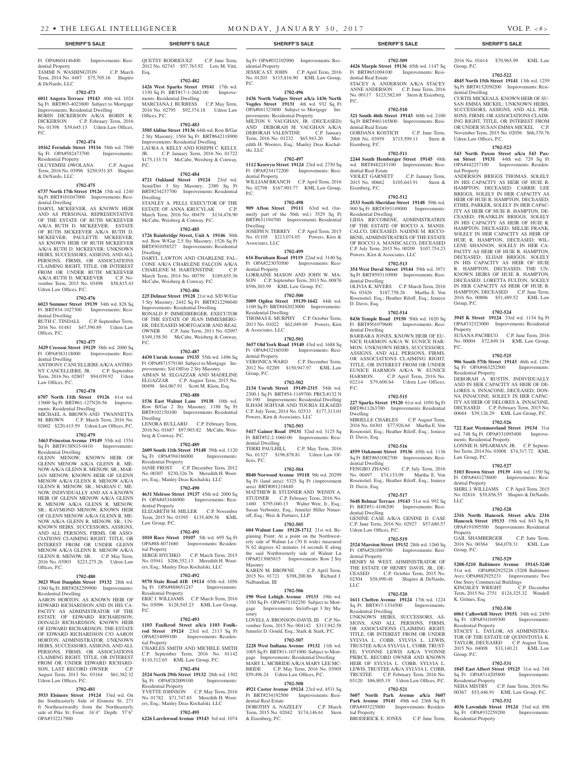dential Property

& DeNardo, LLC

Residential Property

& DeNardo, LLC

dential Dwelling

Udren Law Offices, P.C.

dential Dwelling

dential Dwelling

Law Offices, P.C.

ments: Residential Dwelling

Residential Dwelling

Offices, P.C.

Residential Dwelling

Udren Law Offices, P.C.

OPA#332217900

Offices, P.C.

P.C.

**1702-473 6011 Angora Terrace 19143** 40th wd. 1024 Sq Ft BRT#03-4023800 Subject to Mortgage Improvements: Residential Dwelling ROBIN DICKERSON A/K/A ROBIN R. DICKERSON C.P. February Term, 2016 No. 01398 \$39,645.13 Udren Law Offices,

**1702-474 10162 Ferndale Street 19116** 58th wd. 7500 Sq Ft OPA#582473700 Improvements:

OLUYEMISI OWOLANA C.P. August Term, 2016 No. 03996 \$250,931.85 Shapiro

**1702-475 6737 North 17th Street 19126** 15th wd. 1240 Sq Ft BRT#101047000 Improvements: Resi-

DARYL MCKEEVER, AS KNOWN HEIR AND AS PERSONAL REPRESENTATIVE OF THE ESTATE OF RUTH MCKEEVER A/K/A RUTH D. MCKEEVER; ESTATE OF RUTH MCKEEVER A/K/A RUTH D. MCKEEVER; PAULETTE MCKEEVER, AS KNOWN HEIR OF RUTH MCKEEVER A/K/A RUTH D. MCKEEVER; UNKNOWN HEIRS, SUCCESSORS, ASSIGNS, AND ALL PERSONS, FIRMS, OR ASSOCIATIONS CLAIMING RIGHT, TITLE, OR INTEREST FROM OR UNDER RUTH MCKEEVER<br>A/K/A RUTH D. MCKEEVER C.P. No-A/K/A RUTH D. MCKEEVER vember Term, 2015 No. 03498 \$58,815.43

**1702-476 6023 Summer Street 19139** 34th wd. 828 Sq Ft BRT#34-1027300 Improvements: Resi-

RUTH C. TINDALL C.P. September Term, 2016 No. 01481 \$47,590.89 Udren Law

**1702-477 3429 Cresson Street 19129** 38th wd. 2000 Sq Ft OPA#383118000 Improvements: Resi-

ANTHONY CANCELLIERE A/K/A ANTHO-NY CANCELLIERE, JR. C.P. September Term, 2016 No. 02807 \$94,039.92 Udren

**1702-478 6707 North 11th Street 19126** 61st wd. 13600 Sq Ft BRT#61-127N20-56 Improve-

MICHAEL A. BROWN AND TWANNETTA M. BROWN C.P. March Term, 2016 No. 02602 \$220,415.59 Udren Law Offices, P.C. **1702-479 3463 Princeton Avenue 19149** 55th wd. 1554 Sq Ft BRT#138N15-0410 Improvements:

GLENN MENOW, KNOWN HEIR OF GLENN MENOW A/K/A GLENN R. ME-NOW A/K/A GLENN R. MENOW, SR.; MAR-IAN MENOW, KNOWN HEIR OF GLENN MENOW A/K/A GLENN R. MENOW A/K/A GLENN R. MENOW, SR.; MARIAN C. ME-NOW, INDIVIDUALLY AND AS A KNOWN HEIR OF GLENN MENOW A/K/A GLENN R. MENOW A/K/A GLENN R. MENOW, SR.; RAYMOND MENOW, KNOWN HEIR OF GLENN MENOW A/K/A GLENN R. ME-NOW A/K/A GLENN R. MENOW, SR.; UN-KNOWN HEIRS, SUCCESSORS, ASSIGNS, AND ALL PERSONS, FIRMS, OR ASSO-CIATIONS CLAIMING RIGHT, TITLE, OR INTEREST FROM OR UNDER GLENN MENOW A/K/A GLENN R. MENOW A/K/A<br>GLENN R. MENOW, SR. C.P. May Term, GLENN R. MENOW, SR. C.P. May Term, 2016 No. 03903 \$223,275.26 Udren Law

**1702-480 3023 West Dauphin Street 19132** 28th wd. 1360 Sq Ft BRT#282299900 Improvements:

AARON HORTON, AS KNOWN HEIR OF EDWARD RICHARDSON AND IN HIS CA-PACITY AS ADMINISTRATOR OF THE ESTATE OF EDWARD RICHARDSON; DONALD RICHARDSON, KNOWN HEIR OF EDWARD RICHARDSON; THE ESTATE OF EDWARD RICHARDSON C/O AARON HORTON, ADMINISTRATOR; UNKNOWN HEIRS, SUCCESSORS, ASSIGNS, AND ALL PERSONS, FIRMS, OR ASSOCIATIONS CLAIMING RIGHT, TITLE, OR INTEREST FROM OR UNDER EDWARD RICHARD-SON, LAST RECORD OWNER C.P. August Term, 2013 No. 03164 \$61,382.32

**1702-481 3933 Elsinore Street 19124** 33rd wd. On the Southeasterly Side of Elsinore St; 271 ft Northeastwardly from the Northeasterly side of Pike St; Front: 16'4" Depth: 57'6" P.C.

ski, LLC

P.C.

Dwelling

Associates, LLC

dential Property

Residential Dwelling

& Associates, LLC

dential Property<br>VERONICA WARD

Group, P.C.

dential Dwelling

area) BRT#091218840

off, Esq.; Weir & Partners, LLP

fices, P.C.

Masonry

sonry

Nalbandian, III

& Eisenberg, P.C.

dential Property

No. 01203 \$115,816.90 KML Law Group,

**1702-496 1436 North Vodges Street a/k/a 1436 North Vogdes Street 19131** 4th wd. 932 Sq Ft OPA#041323800 Subject to Mortgage Im-

MILTON V. VAUGHAN, JR. (DECEASED) AND DEBORAH M. VAUGHAN A/K/A DEBORAH VALENTINE C.P. January Term, 2016 No. 01232 \$65,943.20 Meredith H. Wooters, Esq.; Manley Deas Kochal-

**1702-497 1112 Kenwyn Street 19124** 23rd wd. 2750 Sq Ft OPA#234172200 Improvements: Resi-

WILLIAM BRANCH C.P. April Term, 2016 No. 02798 \$167,903.77 KML Law Group,

**1702-498 909 Afton Street 19111** 63rd wd. (formerly part of the 56th wd.) 3529 Sq Ft BRT#631194700 Improvements: Residential

JOSEPH N. TERREY C.P. April Term, 2015 No. 01105 \$213,074.03 Powers, Kirn &

**1702-499 616 Burnham Road 19119** 22nd wd. 3140 Sq Ft OPA#223070500 Improvements: Resi-

LORRAINE MASON AND JOHN W. MA-SON C.P. September Term, 2013 No. 00876 \$596,303.99 KML Law Group, P.C. **1702-500 5009 Ogden Street 19139-1642** 44th wd. 1100 Sq Ft BRT#442023000 Improvements:

THOMAS E. MURPHY C.P. October Term, 2013 No. 01022 \$62,049.69 Powers, Kirn

**1702-501 3657 Old York Road 19140** 43rd wd. 1688 Sq

2012 No. 02289 \$150,947.97 KML Law

**1702-502 2134 Unruh Street 19149-2315** 54th wd. 2300.1 Sq Ft BRT#54-1149700; PRCL#132 N 16-190 Improvements: Residential Dwelling ILHAM SGHYAR AND TOURIA ELKAEID C.P. July Term, 2014 No. 02533 \$177,313.01

**1702-503 5417 Gainor Road 19131** 52nd wd. 3125 Sq Ft BRT#52-2-1060-00 Improvements: Resi-

TERRI PAULHILL C.P. May Term, 2016 No. 01327 \$196,878.81 Udren Law Of-

**1702-504**

MATTHEW B. STUDNER AND WENDY A. STUDNER C.P. February Term, 2016 No. 1460 \$795,040.13 Walter Weir, Jr., Esq.; Susan Verbonitz, Esq.; Jennifer Hiller Nimer-

**1702-505 604 Walnut Lane 19128-1712** 21st wd. Beginning Point: At a point on the Northwesterly side of Walnut Ln (70 ft wide) measured N 62 degrees 42 minutes 14 seconds E along the said Northwesterly side of Walnut Ln OPA#213085815 Improvements: Row 2 Sty

KAREN M. BROWNE C.P. April Term, 2015 No. 01721 \$398,200.86 Richard J.

**1702-506 190 West Lehigh Avenue 19133** 19th wd. 1350 Sq Ft OPA#871102250 Subject to Mortgage Improvements: Str/off+apt 3 Sty Ma-

LOVELL A. BRONSON-DAVIS, III C.P. November Term, 2015 No. 004142 \$313,942.58 Jennifer D. Gould, Esq.; Stark & Stark, P.C. **1702-507 2228 West Indiana Avenue 19132** 11th wd. 1005 Sq Ft BRT#11-1071000 Subject to Mortgage Improvements: Residential Dwelling MARY L. MCBRIDE A/K/A MARY LEE MC-BRIDE C.P. May Term, 2016 No. 03905 \$59,496.24 Udren Law Offices, P.C. **1702-508 4921 Castor Avenue 19124** 23rd wd. 4531 Sq

Term, 2015 No. 02042 \$174,146.61 Stern

Powers, Kirn & Associates, LLC

Improvements: Resi-

C.P. December Term,

provements: Residential Property

### **SHERIFF'S SALE SHERIFF'S SALE SHERIFF'S SALE SHERIFF'S SALE SHERIFF'S SALE**

**1702-509 4426 Marple Street 19136** 65th wd. 1147 Sq Ft BRT#651094100 Improvements: Resi-

STACEY A. ANDERSON A/K/A STACEY ANNE ANDERSON C.P. June Term, 2016 No. 00117 \$123,582.69 Stern & Eisenberg,

**1702-510 321 South 46th Street 19143** 60th wd. 2100 Sq Ft BRT#461165800 Improvements: Resi-

GORDANA KOSTICH C.P. June Term, 2008 No. 03959 \$715,599.11 Stern &

**1702-511 2244 South Hemberger Street 19145** 48th wd. BRT#482243100 Improvements: Resi-

VIOLET GARNETT C.P. January Term, 2015 No. 00662 \$105,643.91 Stern &

**1702-512 2533 South Sheridan Street 19148** 39th wd. 900 Sq Ft BRT#393149000 Improvements:

LIDIA RICCOBENE, ADMINISTRATRIX OF THE ESTATE OF ROCCO A. MANIS-CALCO, DECEASED; NADINE M. RICCO-BENE, ADMINISTRATRIX OF THE ESTATE OF ROCCO A. MANISCALCO, DECEASED C.P. July Term, 2015 No. 00209 \$107,754.23

**1702-513 354 West Duval Street 19144** 59th wd. 3971 Sq Ft BRT#593110900 Improvements: Resi-

OLIVIA K. MYERS C.P. March Term, 2016 No. 03426 \$187,758.26 Martha E. Von Rosenstiel, Esq.; Heather Riloff, Esq.; Jeniece

**1702-514 8436 Temple Road 19150** 50th wd. 1620 Sq Ft BRT#501079600 Improvements: Resi-

BARBARA JONES, KNOWN HEIR OF EU-NICE HARMON A/K/A W. EUNICE HAR-MON; UNKNOWN HEIRS, SUCCESSORS, ASSIGNS, AND ALL PERSONS, FIRMS, OR ASSOCIATIONS CLAIMING RIGHT, TITLE, OR INTEREST FROM OR UNDER EUNICE HARMON A/K/A W. EUNICE HARMON C.P. April Term, 2016 No. 02214 \$79,600.64 Udren Law Offices,

**1702-515 227 Sparks Street 19120** 61st wd. 1050 Sq Ft BRT#611263700 Improvements: Residential

MIRIELLE CHARLES C.P. August Term, 2016 No. 04301 \$77,926.64 Martha E. Von Rosenstiel, Esq.; Heather Riloff, Esq.; Jeniece

**1702-516 4559 Oakmont Street 19136** 65th wd. 1136 Sq Ft BRT#651082700 Improvements: Resi-

No. 00497 \$74,133.09 Martha E. Von Rosenstiel, Esq.; Heather Riloff, Esq.; Jeniece

**1702-517 5648 Belmar Terrace 19143** 51st wd. 992 Sq Ft BRT#51-4106200 Improvements: Resi-

GENINE CASE A/K/A GENINE D. CASE C.P. June Term, 2016 No. 02927 \$57,680.57

**1702-519 2524 Marston Street 19132** 28th wd. 1260 Sq Ft OPA#281089700 Improvements: Resi-

HENRY M. WEST, ADMINISTRATOR OF THE ESTATE OF HENRY DAVIS, JR., DE-CEASED C.P. October Term, 2015 No. 02304 \$58,090.48 Shapiro & DeNardo,

**1702-520 1611 Chelten Avenue 19124** 17th wd. 1224 Sq Ft BRT#17-1334500 Improvements:

UNKNOWN HEIRS, SUCCESSORS, AS-SIGNS, AND ALL PERSONS, FIRMS, OR ASSOCIATIONS CLAIMING RIGHT, TITLE, OR INTEREST FROM OR UNDER SYLVIA L. COBB, SYLVIA L. LEWIS, TRUSTEE A/K/A SYLVIA L. COBB, TRUST-EE; YVONNE LEWIS A/K/A YVONNE PIERCE, RECORD OWNER AND KNOWN HEIR OF SYLVIA L. COBB, SYLVIA L. LEWIS, TRUSTEE A/K/A SYLVIA L. COBB, TRUSTEE C.P. February Term, 2016 No. 03120 \$86,805.19 Udren Law Offices, P.C. **1702-521 5607 North Park Avenue a/k/a 5607 Park Avenue 19141** 49th wd. 2368 Sq Ft OPA#493225800 Improvements: Residen-

BRODERICK E. JONES C.P. June Term,

C.P. July Term, 2016

dential Real Estate

dential Real Estate

Eisenberg, P.C.

dential Real Estate

Residential Dwelling

dential Dwelling

D. Davis, Esq.

dential Dwelling

P.C.

Dwelling

D. Davis, Esq.

dential Dwelling<br>FENGBO ZHANG

D. Davis, Esq.

dential Dwelling

dential Property

Residential Dwelling

tial Property

LLC

Udren Law Offices, P.C.

Powers, Kirn & Associates, LLC

Eisenberg, P.C.

P.C.

2016 No. 01614 \$70,965.99 KML Law Group, P.C.

#### **1702-522**

**4845 North 15th Street 19141** 13th wd. 1259 Sq Ft BRT#132050200 Improvements: Residential Dwelling

CURTIS MICKEALS, KNOWN HEIR OF SU-SAN EMMA MICKEL; UNKNOWN HEIRS, SUCCESSORS, ASSIGNS, AND ALL PER-SONS, FIRMS, OR ASSOCIATIONS CLAIM-ING RIGHT, TITLE, OR INTEREST FROM OR UNDER SUSAN EMMA MICKEL C.P. November Term, 2015 No. 02056 \$66,370.76 Udren Law Offices, P.C.

### **1702-523**

**543 North Paxon Street a/k/a 543 Paxon Street 19131** 44th wd. 729 Sq Ft OPA#442257100 Improvements: Residential Property

ANDERSON BRIGGS THOMAS, SOLELY IN HIS CAPACITY AS HEIR OF HUIE R. HAMPTON, DECEASED; CARRIE LEE BRIGGS, SOLELY IN HER CAPACITY AS HEIR OF HUIE R. HAMPTON, DECEASED; ETHEL PARKER, SOLELY IN HER CAPAC-ITY AS HEIR OF HUIE R. HAMPTON, DE-CEASED; FRANKLIN BRIGGS, SOLELY IN HIS CAPACITY AS HEIR OF HUIE R. HAMPTON, DECEASED; MILLIE FRANK, SOLELY IN HER CAPACITY AS HEIR OF HUIE R. HAMPTON, DECEASED; WIL-LENE SHANNON, SOLELY IN HER CA-PACITY AS HEIR OF HUIE R. HAMPTON, DECEASED; ELIJAH BRIGGS, SOLELY IN HIS CAPACITY AS HEIR OF HUIE R. HAMPTON, DECEASED; THE UN-KNOWN HEIRS OF HUIE R. HAMPTON, DECEASED; LORETTA FULTON, SOLELY IN HER CAPACITY AS HEIR OF HUIE R. HAMPTON, DECEASED C.P. June Term, 2016 No. 00806 \$51,489.52 KML Law Group, P.C.

### **1702-524**

**3945 K Street 19124** 33rd wd. 1134 Sq Ft OPA#332323000 Improvements: Residential Property SUSANA PACHECO C.P. June Term, 2016

No. 00004 \$72,849.34 KML Law Group, P.C.

## **1702-525**

**906 South 57th Street 19143** 46th wd. 1256 Sq Ft OPA#463252500 Improvements: Residential Property

DEBORAH A. RUSTIN, INDIVIDUALLY AND IN HER CAPACITY AS HEIR OF DE-LORES A. INNACONE, DECEASED; DON-NA INNACONE, SOLELY IN HER CAPAC-ITY AS HEIR OF DELORES A. INNACONE, DECEASED C.P. February Term, 2015 No. 00684 \$39,126.29 KML Law Group, P.C.

### **1702-526**

**722 East Westmoreland Street 19134** 31st wd. 748 Sq Ft OPA#331095400 Improvements: Residential Property

LONNIE H. SPEARMAN, JR. C.P. September Term, 2014 No. 03008 \$74,317.72 KML Law Group, P.C.

## **1702-527**

**5103 Brown Street 19139** 44th wd. 1350 Sq Ft OPA#441278600 Improvements: Residential Property

SHIRL I. WILLIAMS C.P. April Term, 2015 No. 02816 \$39,856.55 Shapiro & DeNardo, LLC

### **1702-528**

**2316 North Hancock Street a/k/a 2316 Hancock Street 19133** 19th wd. 843 Sq Ft OPA#191095500 Improvements: Residential Property GAIL SHAMBERGER C.P. June Term,

2016 No. 00364 \$64,078.31 KML Law Group, P.C.

### **1702-529**

**5208-5210 Baltimore Avenue 19143-3240**  51st wd. OPA#882925226 (5208 Baltimore Ave); OPA#882925231 Improvements: Two One Story Commercial Buildings

KINGSLEY WRIGHT C.P. December Term, 2015 No. 2751 \$124,325.32 Wendell K. Grimes, Esq.

## **1702-530**

**6061 Callowhill Street 19151** 34th wd. 2450 Sq Ft OPA#341049300 Improvements: Residential Property

STACEY L. TAYLOR, AS ADMINISTRA-TOR OF THE ESTATE OF QUINNTOYIA K. TAYLOR, DECEASED C.P. August Term, 2015 No. 04008 \$33,140.21 KML Law Group, P.C.

### **1702-531**

**1845 East Albert Street 19125** 31st wd. 748<br>Sq Ft OPA#314205800 Improvements: Sq Ft OPA#314205800 Improvements: Residential Property NEHA MISTRY C.P. June Term, 2016 No.

### 00367 \$53,446.91 KML Law Group, P.C. **1702-532**

**4036 Lawndale Street 19124** 33rd wd. 896 Sq Ft OPA#332259200 Improvements: Residential Property

Ft OPA#604146400 Improvements: Resi-TAMMI N. WASHINGTON C.P. March Term, 2014 No. 4487 \$75,705.16 Shapiro 2012 No. 02743 \$57,763.92 Lois M. Vitti, Esq. **1702-482**

1330 Sq Ft BRT#17-1-2682-00 Improvements: Residential Dwelling 2016 No. 02795 \$92,374.18 Udren Law Offices, P.C.

### **1702-483**

2 Sty Masonry; 1504 Sq Ft BRT#642118900 Improvements: Residential Dwelling LAURA A. KELLY AND JOSEPH C. KELLY,<br>JR. C.P. January Term. 2016 No. 01722 C.P. January Term, 2016 No. 01722 \$175,133.74 McCabe, Weisberg & Conway, P.C.

Semi/Det 3 Sty Masonry; 2380 Sq Ft BRT#234237700 Improvements: Residential Dwelling STANLEY A. PELLI, EXECUTOR OF THE ESTATE OF ANNA KRUCYLAK C.P. March Term, 2016 No. 00479 \$134,476.90 McCabe, Weisberg & Conway, P.C.

#### **1702-485**

wd. Row W/Gar 2.5 Sty Masonry; 1526 Sq Ft BRT#301058527 Improvements: Residential Dwelling DARYL LAWTON AND CHARLENE FAL-

McCabe, Weisberg & Conway, P.C. **1702-486**

3 Sty Masonry; 2442 Sq Ft BRT#212296040 Improvements: Residential Dwelling

Ft OPA#871579180 Subject to Mortgage Improvements: S/d Off/str 2 Sty Masonry AIMAN M. ELGAZZAR AND MADELINE ELGAZZAR C.P. August Term, 2015 No. 00498 \$64,067.91 Scott M. Klein, Esq.

### **1702-488**

**1536 East Walnut Lane 19138** 10th wd. Row B/Gar 2 Sty Masonry; 1188 Sq Ft BRT#102150100 Improvements: Residential Dwelling LENORA BULLARD C.P. February Term,

berg & Conway, P.C. **1702-489**

Residential Property JANIE FROST C.P. December Term, 2012 No. 00307 \$230,326.76 Meredith H. Woot-

## ers, Esq.; Manley Deas Kochalski, LLC

**4631 Melrose Street 19137** 45th wd. 2000 Sq Ft OPA#453446900 Improvements: Residential Property ELIZABETH M. MILLER C.P. November

Term, 2015 No. 03395 \$135,409.38 KML Law Group, P.C.

**1010 Race Street 19107** 5th wd. 695 Sq Ft OPA#88-8071680 Improvements: Residential Property SERGE HYCHKO C.P. March Term, 2015 No. 03941 \$206,352.13 Meredith H. Wooters, Esq.; Manley Deas Kochalski, LLC

P.C.

**9570 State Road 41B 19114** 65th wd. 1056 Sq Ft OPA#888651247 Improvements: Residential Property ERIC J. WILLIAMS C.P. March Term, 2016 No. 03096 \$128,545.23 KML Law Group,

**1702-493 1103 Faulkrod Street a/k/a 1103 Foulkrod Street 19124** 23rd wd. 2113 Sq Ft OPA#234099100 Improvements: Residential Property

CHARLES SMITH AND MICHELE SMITH C.P. September Term, 2016 No. 01142 \$110,312.65 KML Law Group, P.C.

### **1702-494**

**2524 North 29th Street 19132** 28th wd. 1302 Sq Ft OPA#282009100 Improvements: Residential Property YVETTE JOHNSON C.P. May Term, 2016

No. 01782 \$71,747.85 Meredith H. Wooters, Esq.; Manley Deas Kochalski, LLC Ft BRT#234192500 Improvements: Residential Real Estate DOROTHY A. NAZELEY C.P. March

### **1702-495**

**6226 Larchwood Avenue 19143** 3rd wd. 1074

QUETSY RODRIGUEZ C.P. June Term, Sq Ft OPA#032102900 Improvements: Residential Property JESSICA ST. JOHN C.P. April Term, 2016

## **1426 West Sparks Street 19141** 17th wd.

MARCIANA J. BURRESS C.P. May Term,

## **3505 Aldine Street 19136** 64th wd. Row B/Gar

### **1702-484**

**4721 Oakland Street 19124** 23rd wd.

**1726 Bainbridge Street, Unit A 19146** 30th

CONE A/K/A CHARLENE FALCON A/K/A<br>CHARLENE M. HARTENSTINE C.P. CHARLENE M. HARTENSTINE March Term, 2014 No. 00759 \$189,655.36

**225 Delmar Street 19128** 21st wd. S/D W/Gar

RONALD P. IMMESBERGER, EXECUTOR OF THE ESTATE OF JEAN IMMESBERG-ER, DECEASED MORTGAGOR AND REAL OWNER C.P. June Term, 2011 No. 02097 \$349,158.50 McCabe, Weisberg & Conway, P.C.

### **1702-487**

**4430 Unruh Avenue 19135** 55th wd. 1496 Sq

2016 No. 01687 \$97,903.82 McCabe, Weis-

**2609 South 11th Street 19148** 39th wd. 1120 Sq Ft OPA#394186000 Improvements:

> **8840 Norwood Avenue 19118** 9th wd. 20299 Sq Ft (land area); 5325 Sq Ft (improvement

### **1702-490**

### **1702-491**

### **1702-492**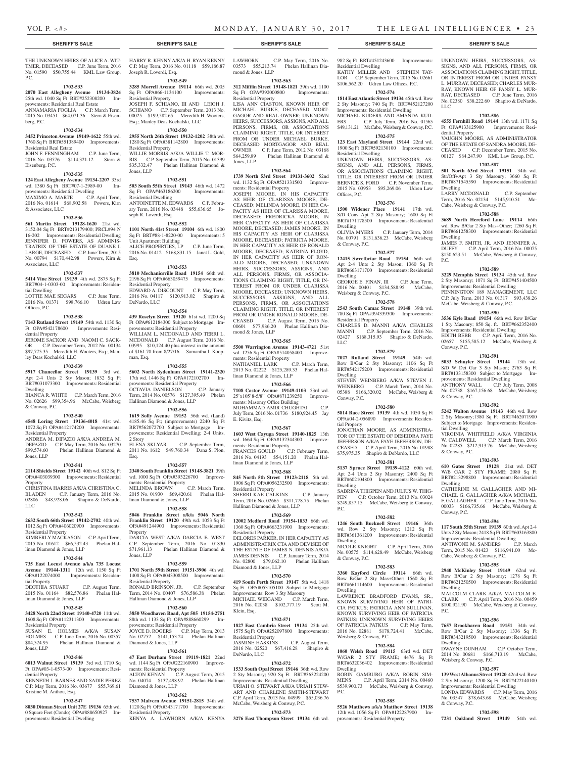### **SHERIFF'S SALE SHERIFF'S SALE SHERIFF'S SALE SHERIFF'S SALE SHERIFF'S SALE**

### THE UNKNOWN HEIRS OF ALICE A. WIT-TMER, DECEASED C.P. June Term, 2016 No. 01590 \$50,755.44 KML Law Group, P.C.

### **1702-533**

**2070 East Allegheny Avenue 19134-3824**  25th wd. 1040 Sq Ft BRT#252308200 Improvements: Residential Real Estate

ANNAMARIA FOGLIA C.P. March Term, 2015 No. 03451 \$64,071.36 Stern & Eisenberg, P.C.

### **1702-534**

**3452 Princeton Avenue 19149-1622** 55th wd. 1760 Sq Ft BRT#551389400 Improvements: Residential Real Estate JOHN F. FENNINGHAM C.P. June Term,

2016 No. 03576 \$114,321.12 Stern & Eisenberg, P.C. **1702-535 124 East Allegheny Avenue 19134-2207** 33rd

wd. 1380 Sq Ft BRT#07-1-2989-00 Improvements: Residential Dwelling MAXIMO A. MARTE C.P. April Term, 2016 No. 01614 \$68,902.58 Powers, Kirn & Associates, LLC

### **1702-536**

**561 Martin Street 19128-1620** 21st wd. 3152.04 Sq Ft BRT#213179400; PRCL#94 N 16-202 Improvements: Residential Dwelling JENNIFER D. POWERS, AS ADMINIS-TRATRIX OF THE ESTATE OF DUANE I. LARGE, DECEASED C.P. June Term, 2015 No. 00794 \$170,442.98 Powers, Kirn & Associates, LLC

#### **1702-537**

**5414 Vine Street 19139** 4th wd. 2875 Sq Ft BRT#04-1-0303-00 Improvements: Residential Dwelling

LOTTIE MAE SEGARS C.P. June Term, 2016 No. 01371 \$98,766.10 Udren Law Offices, P.C.

#### **1702-538**

**7143 Rutland Street 19149** 54th wd. 1130 Sq Ft OPA#542178600 Improvements: Residential Property JEROME SACKOR AND NAOMI C. SACK-

OR C.P. December Term, 2012 No. 00134 \$97,775.35 Meredith H. Wooters, Esq.; Manley Deas Kochalski, LLC

### **1702-539**

**5917 Chancellor Street 19139** 3rd wd. Apt 2-4 Unts 2 Sty Mason; 1832 Sq Ft BRT#031073300 Improvements: Residential Dwelling

BIANCA R. WHITE C.P. March Term, 2016 No. 02626 \$99,354.96 McCabe, Weisberg & Conway, P.C.

#### **1702-540**

**4548 Loring Street 19136-4018** 41st wd. 1072 Sq Ft OPA#412174200 Improvements: Residential Property ANDREA M. DIFAZIO A/K/A ANDREA M.

DEFAZIO C.P. May Term, 2016 No. 03270<br>\$99,574.60 Phelan Hallinan Diamond & Phelan Hallinan Diamond & Jones, LLP

## **1702-541**

**2114 Shields Street 19142** 40th wd. 812 Sq Ft OPA#403039300 Improvements: Residential Property

CHRISTINA HARRIS A/K/A CHRISTINA C. BLADEN C.P. January Term, 2016 No. 02806 \$48,928.06 Shapiro & DeNardo, LLC

#### **1702-542**

**2632 South 66th Street 19142-2702** 40th wd. 1012 Sq Ft OPA#406020900 Improvements: Residential Property

KIMBERLY MACKASON C.P. April Term, 2015 No. 01612 \$66,532.43 Phelan Hallinan Diamond & Jones, LLP

### **1702-544**

**735 East Locust Avenue a/k/a 735 Locust Avenue 19144-1311** 12th wd. 1150 Sq Ft OPA#122074000 Improvements: Residential Property

DEOTHIA STUART C.P. August Term, 2015 No. 01164 \$82,576.86 Phelan Hallinan Diamond & Jones, LLP

### **1702-545**

**3428 North 22nd Street 19140-4720** 11th wd. 1608 Sq Ft OPA#112311300 Improvements: Residential Property

SUSAN E. HOLMES A/K/A SUSAN<br>HOLMES C.P. June Term. 2016 No. 00357 HOLMES C.P. June Term, 2016 No. 00357<br>\$84,524.95 Phelan Hallinan Diamond & Phelan Hallinan Diamond & Jones, LLP

### **1702-546**

**6013 Walnut Street 19139** 3rd wd. 1710 Sq Ft OPA#03-1-0573-00 Improvements: Residential Property

KENNETH J. BARNES AND SADIE PEREZ C.P. May Term, 2016 No. 03677 \$55,769.61 Kristine M. Anthou, Esq.

### **1702-547**

**8030 Ditman Street Unit 27E 19136** 65th wd. 0 Square Feet (Condo) OPA#888650927 Improvements: Residential Dwelling

HARRY R. KENNY A/K/A H. RYAN KENNY C.P. May Term, 2016 No. 01118 \$59,186.87 Joseph R. Loverdi, Esq.

### **1702-549**

**3285 Morrell Avenue 19114** 66th wd. 2005<br>
Sq Ft OPA#66-1134100 Improvements: Sq Ft OPA#66-1134100 Residential Property JOSEPH F. SCHIANO, III AND LEIGH J. SCHIANO C.P. September Term, 2013 No. 00025 \$199,582.65 Meredith H. Wooters, Esq.; Manley Deas Kochalski, LLC

### **1702-550**

**2955 North 26th Street 19132-1202** 38th wd. 1280 Sq Ft OPA#381142800 Improvements: Residential Property WILLIE MORRIS A/K/A WILLIE T. MOR-RIS C.P. September Term, 2015 No. 01399<br>\$35,332.47 Phelan Hallinan Diamond &  $\sum_{k=1}^{\infty}$  Phelan Hallinan Diamond & Jones, LLP

### **1702-551**

**503 South 55th Street 19143** 46th wd. 1472 Sq Ft OPA#463186200 Improvements: Residential Dwelling ANTOINETTE M. EDWARDS C.P. February Term, 2016 No. 03448 \$55,636.65 Joseph R. Loverdi, Esq.

### **1702-552**

**1101 North 41st Street 19104** 6th wd. 1800 Sq Ft BRT#88-1-8220-00 Improvements: 5 Unit Apartment Building ALICE PROPERTIES, LP C.P. June Term, 2016 No. 01412 \$168,831.15 Janet L. Gold,

### **1702-553**

Esq.

**3810 Mechanicsville Road 19154** 66th wd. 2196 Sq Ft OPA#663059475 Improvements: Residential Property EDWARD A. DISCOUNT C.P. May Term, 2016 No. 04117 \$120,913.02 Shapiro & DeNardo, LLC

### **1702-554**

**439 Roselyn Street 19120** 61st wd. 1200 Sq Ft OPA#612184300 Subject to Mortgage Improvements: Residential Property WILLIAM L. MCDONALD AND TERRI L. MCDONALD C.P. August Term, 2016 No. 03995 \$10,124.40 plus interest in the amount of \$161.70 from 8/27/16 Samantha J. Koopman, Esq.

### **1702-555**

**5602 North Sydenham Street 19141-2320**  17th wd. 1446 Sq Ft OPA#172102700 Improvements: Residential Property<br>OCTAVIA DANIELSON C.P. January OCTAVIA DANIELSON C.P. January Term, 2014 No. 00576 \$127,395.49 Phelan Hallinan Diamond & Jones, LLP

### **1702-556**

**1619 Solly Avenue 19152** 56th wd. (Land) 4185.46 Sq Ft; (improvements) 2240 Sq Ft  $BRT#562072700$  Subject to Mortgage provements: Residential Dwelling; 2-4 Units, 2 Story ELENA SKLYAR C.P. September Term, 2011 No. 1612 \$49,760.34 Dana S. Plon, Esq.

### **1702-557**

**2340 South Franklin Street 19148-3821** 39th

wd. 1000 Sq Ft OPA#393226700 Improvements: Residential Property MELINDA BROWN C.P. March Term, MELINDA BROWN C.P. March Term,<br>2015 No. 01930 \$69,420.61 Phelan Hallinan Diamond & Jones, LLP

#### **1702-558**

**5046 Franklin Street a/k/a 5046 North Franklin Street 19120** 49th wd. 1053 Sq Ft OPA#491244900 Improvements: Residential Property DARCIA WEST A/K/A DARCIA E. WEST C.P. September Term, 2016 No. 01830<br>\$71,961.13 Phelan Hallinan Diamond & Phelan Hallinan Diamond & Jones, LLP

### **1702-559**

**1701 North 59th Street 19151-3906** 4th wd. 1408 Sq Ft OPA#043308500 Improvements: Residential Property

RONALD BRINSON, JR. C.P. September Term, 2014 No. 00407 \$76,586.38 Phelan Hallinan Diamond & Jones, LLP

### **1702-560**

**3850 Woodhaven Road, Apt 505 19154-2751**  88th wd. 1133 Sq Ft OPA#888660299 Improvements: Residential Property OYCE D. ROGERS C.P. Ma No. 02752 \$141,153.24 Phelan Hallinan Diamond & Jones, LLP

### **1702-561**

**47 East Durham Street 19119-1821** 22nd wd. 1144 Sq Ft OPA#222160900 Improvements: Residential Property ALTON KENAN C.P. August Term, 2015 No. 04074 \$137,498.92 Phelan Hallinan Diamond & Jones, LLP

### **1702-562**

**7537 Malvern Avenue 19151-2815** 34th wd. 1120 Sq Ft OPA#343171700 Improvements: Residential Property KENYA A. LAWHORN A/K/A KENYA

LAWHORN C.P. May Term, 2016 No. 03573 \$55,213.74 Phelan Hallinan Diamond & Jones, LLP

### **1702-563**

**312 Mifflin Street 19148-1821** 39th wd. 1100<br>Sq Ft OPA#392000800 Improvements: Sq Ft OPA#392000800 Residential Property LISA ANN CIASTON, KNOWN HEIR OF MICHAEL BURKE, DECEASED MORT-GAGOR AND REAL OWNER; UNKNOWN HEIRS, SUCCESSORS, ASSIGNS, AND ALL PERSONS, FIRMS, OR ASSOCIATIONS CLAIMING RIGHT, TITLE, OR INTEREST FROM OR UNDER MICHAEL BURKE, DECEASED MORTGAGOR AND REAL OWNER C.P. June Term, 2012 No. 03168<br>\$64,259.89 Phelan Hallinan Diamond & Phelan Hallinan Diamond & Jones, LLP

### **1702-564**

**1739 North 53rd Street 19131-3602** 52nd wd. 1132 Sq Ft OPA#521331500 Improvements: Residential Property JOSEPH MOORE, IN HIS CAPACITY AS HEIR OF CLARISSA MOORE, DE-CEASED; MELINDA MOORE, IN HER CA-PACITY AS HEIR OF CLARISSA MOORE, DECEASED; FREDRICKA MOORE, IN HER CAPACITY AS HEIR OF CLARISSA MOORE, DECEASED; JAMES MOORE, IN HIS CAPACITY AS HEIR OF CLARISSA MOORE, DECEASED; PATRICIA MOORE, IN HER CAPACITY AS HEIR OF RONALD MOORE, DECEASED; KATRINA FLOYD, IN HER CAPACITY AS HEIR OF RON-ALD MOORE, DECEASED; UNKNOWN HEIRS, SUCCESSORS, ASSIGNS, AND ALL PERSONS, FIRMS, OR ASSOCIA-TIONS CLAIMING RIGHT, TITLE, OR IN-TEREST FROM OR UNDER CLARISSA MOORE, DECEASED; UNKNOWN HEIRS, SUCCESSORS, ASSIGNS, AND ALL PERSONS, FIRMS, OR ASSOCIATIONS CLAIMING RIGHT, TITLE, OR INTEREST FROM OR UNDER RONALD MOORE, DE-CEASED C.P. August Term, 2015 No. 00601 \$77,986.20 Phelan Hallinan Diamond & Jones, LLP

## **1702-565**

**5500 Warrington Avenue 19143-4721** 51st wd. 1256 Sq Ft OPA#514058400 Improvements: Residential Property

NATHANIEL LARK C.P. March Term, 2013 No. 02222 \$125,289.33 Phelan Hallinan Diamond & Jones, LLP

### **1702-566**

**7108 Castor Avenue 19149-1103** 53rd wd. 25'x105'8-5/8" OPA#871239250 Improvements: Masonry Office Building MOHAMMAD AMIR CHUGHTAI C.P. July Term, 2016 No. 01736 \$180,924.45 Jay E. Kivitz, Esq.

### **1702-567**

**1603 West Cayuga Street 19140-1825** 13th wd. 1664 Sq Ft OPA#132344300 Improvements: Residential Property FRANCES GOULD C.P. February Term, 2016 No. 04193 \$54,151.20 Phelan Hallinan Diamond & Jones, LLP

### **1702-568**

**845 North 5th Street 19123-2118** 5th wd. 1906 Sq Ft OPA#056232500 Improvements: Residential Property SHERRI KAE CALKINS C.P. January Term, 2016 No. 02665 \$311,778.75 Phelan Hallinan Diamond & Jones, LLP

### **1702-569**

**12002 Medford Road 19154-1833** 66th wd. 1360 Sq Ft OPA#663231900 Improvements: Residential Property DELORES PARKER, IN HER CAPACITY AS ADMINISTRATRIX CTA AND DEVISEE OF THE ESTATE OF JAMES N. DENNIS A/K/A JAMES DENNIS C.P. January Term, 2014 No. 02800 \$79,062.10 Phelan Hallinan

## Diamond & Jones, LLP

**1702-570 419 South Perth Street 19147** 5th wd. 1418 Sq Ft OPA#053105100 Subject to Mortgage Improvements: Row 3 Sty Masonry MICHAEL WIEGAND C.P. March Term, 2016 No. 02038 \$102,777.19 Scott M. Klein, Esq.

### **1702-571**

**1827 East Cambria Street 19134** 25th wd. 1575 Sq Ft OPA#252097800 Improvements: Residential Property JASMINE HASKINS C.P. August Term, 1<br> **EXECUTE HASKINS** C.P. August Term,<br>
2016 No. 02520 \$67,416.28 Shapiro & DeNardo, LLC

### **1702-572**

**1533 South Opal Street 19146** 36th wd. Row 2 Sty Masonry; 920 Sq Ft BRT#363224200 Improvements: Residential Dwelling URIAH O. STEWART A/K/A URIAH STEW-ART AND CHARLENE SMITH-STEWART C.P. April Term, 2013 No. 04999 \$55,036.76 McCabe, Weisberg & Conway, P.C.

### **1702-573**

**3276 East Thompson Street 19134** 6th wd.

982 Sq Ft BRT#451243600 Improvements: Residential Dwelling KATHY MILLER AND STEPHEN TAY-LOR C.P. September Term, 2015 No. 02661 \$106,562.20 Udren Law Offices, P.C.

UNKNOWN HEIRS, SUCCESSORS, AS-SIGNS, AND ALL PERSONS, FIRMS, OR ASSOCIATIONS CLAIMING RIGHT, TITLE, OR INTEREST FROM OR UNDER PANSY L. MURRAY, DECEASED; CHARLES MUR-RAY, KNOWN HEIR OF PANSY L. MUR-RAY, DECEASED C.P. June Term, 2016 No. 02380 \$38,222.60 Shapiro & DeNardo,

**1702-586 4555 Fernhill Road 19144** 13th wd. 1171 Sq Ft OPA#133125900 Improvements: Resi-

VAUGHN MOORE, AS ADMINISTRATOR OF THE ESTATE OF SANDRA MOORE, DE-CEASED C.P. December Term, 2015 No. 00127 \$84,247.90 KML Law Group, P.C. **1702-587 501 North 63rd Street 19151** 34th wd. Str/Off+Apt 3 Sty Masonry; 3660 Sq Ft BRT#871545590 Improvements: Residential

LARRY MCDONALD C.P. September Term, 2016 No. 02134 \$145,910.51 Mc-

**1702-588 3689 North Hereford Lane 19114** 66th wd. Row B/Gar 2 Sty Mas+Other; 1260 Sq Ft BRT#661258300 Improvements: Residential

JAMES F. SMITH, JR. AND JENNIFER A.<br>DUFFY C.P. April Term. 2016 No. 00075 C.P. April Term, 2016 No. 00075 \$150,623.51 McCabe, Weisberg & Conway,

**1702-589 3229 Memphis Street 19134** 45th wd. Row 2 Sty Masonry; 1071 Sq Ft BRT#451404500 Improvements: Residential Dwelling PENNINGTON 189 MANAGEMENT, LLC C.P. July Term, 2013 No. 01317 \$93,438.26 McCabe, Weisberg & Conway, P.C. **1702-590 3536 Kyle Road 19154** 66th wd. Row B/Gar 1 Sty Masonry; 850 Sq. ft. BRT#662352400 Improvements: Residential Dwelling EDITH BEBB C.P. April Term, 2016 No. 02657 \$155,585.12 McCabe, Weisberg &

**1702-591 5033 Schuyler Street 19144** 13th wd. S/D W Det Gar 3 Sty Mason; 2763 Sq Ft BRT#133158300 Subject to Mortgage Improvements: Residential Dwelling ANTHONY WALL C.P. July Term, 2008 No. 02738 \$167,156.68 McCabe, Weisberg

**1702-592 5242 Walton Avenue 19143** 46th wd. Row 2 Sty Masonry;1380 Sq Ft BRT#462071900 Subject to Mortgage Improvements: Residen-

VIRGINIA WHITFIELD A/K/A VIRGINIA W. CALDWELL C.P. March Term, 2016 No. 02285 \$212,913.76 McCabe, Weisberg

**1702-593 610 Gates Street 19128** 21st wd. DET W/B GAR 2 STY FRAME; 2080 Sq Ft BRT#213298800 Improvements: Residential

CATHERINE M. GALLAGHER AND MI-CHAEL G. GALLAGHER A/K/A MICHAEL F. GALLAGHER C.P. June Term, 2016 No. 00033 \$166,735.66 McCabe, Weisberg &

**1702-594 117 South 55th Street 19139** 60th wd. Apt 2-4 Unts 2 Sty Mason; 2418 Sq Ft BRT#603163800 Improvements: Residential Dwelling ANTIWONE M. SANDERS C.P. March Term, 2015 No. 01423 \$116,941.00 Mc-

**1702-595 2940 McKinley Street 19149** 62nd wd. Row B/Gar 2 Sty Masonry; 1278 Sq Ft BRT#621250500 Improvements: Residential

MALCOLM CLARK A/K/A MALCOLM E. CLARK C.P. April Term, 2016 No. 00459 \$100,921.90 McCabe, Weisberg & Conway,

**1702-596 7657 Brookhaven Road 19151** 34th wd. Sty Masonry; BRT#343219500 Improvements: Residential

DWAYNE DUNHAM C.P. October Term, 2014 No. 00681 \$166,713.19 McCabe,

**1702-597 139 West Albanus Street 19120** 42nd wd. Row 2 Sty Masonry; 1200 Sq Ft BRT#422140100 Improvements: Residential Dwelling LONDA EDWARDS C.P. May Term, 2016 No. 03547 \$78,643.68 McCabe, Weisberg

**1702-598 7231 Oakland Street 19149** 54th wd.

Cabe, Weisberg & Conway, P.C.

Cabe, Weisberg & Conway, P.C.

LLC

dential Property

Dwelling

Dwelling

Conway, P.C.

& Conway, P.C.

tial Dwelling

& Conway, P.C.

Dwelling

Conway, P.C.

Dwelling

P.C.

Dwelling

Weisberg & Conway, P.C.

& Conway, P.C.

P.C.

2 Sty Masonry; 740 Sq Ft BRT#452127200 Improvements: Residential Dwelling MICHAEL KUDERS AND AMANDA KUD-ERS C.P. July Term, 2016 No. 01565 \$49,131.21 McCabe, Weisberg & Conway, P.C. **1702-575 123 East Mayland Street 19144** 22nd wd. 1900 Sq Ft BRT#592130100 Improvements:

UNKNOWN HEIRS, SUCCESSORS, AS-SIGNS, AND ALL PERSONS, FIRMS, OR ASSOCIATIONS CLAIMING RIGHT, TITLE, OR INTEREST FROM OR UNDER BERNICE S. FORD C.P. November Term, 2015 No. 03953 \$95,269.06 Udren Law

**1702-576 1500 Widener Place 19141** 17th wd. S/D Conv Apt 2 Sty Masonry; 1600 Sq Ft BRT#171178500 Improvements: Residential

OLIVIA MYERS C.P. January Term, 2014 No. 00791 \$131,636.23 McCabe, Weisberg

**1702-577 12415 Sweetbriar Road 19154** 66th wd. Apt 2-4 Unts 2 Sty Mason; 1360 Sq Ft BRT#663171700 Improvements: Residential

GEORGE E. FINAN, III C.P. June Term, 2016 No. 00401 \$134,588.95 McCabe,

**1702-578 2543 South Camac Street 19148** 39th wd. 780 Sq Ft OPA#394339300 Improvements:

CHARLES D. MANNI A/K/A CHARLES MANNI C.P. September Term, 2016 No. 02427 \$168,315.93 Shapiro & DeNardo,

**1702-579 7027 Rutland Street 19149** 54th wd. Row B/Gar 2 Sty Masonry; 1106 Sq Ft BRT#542175200 Improvements: Residential

STEVEN WEINBERG A/K/A STEVEN J. WEINBERG C.P. March Term, 2014 No. 05388 \$166,320.02 McCabe, Weisberg &

**1702-580 5814 Race Street 19139** 4th wd. 1050 Sq Ft OPA#04-2-056890 Improvements: Residen-

JONATHAN MOORE, AS ADMINISTRA-TOR OF THE ESTATE OF DESEIDRA FAYE JEFFERSON A/K/A FAYE JEFFERSON, DE-CEASED C.P. April Term, 2016 No. 01988 \$75,975.35 Shapiro & DeNardo, LLC **1702-581 5137 Spruce Street 19139-4122** 60th wd. Apt 2-4 Unts 2 Sty Masonry; 2400 Sq Ft BRT#602104800 Improvements: Residential

SABRINA THIGPEN AND JULIUS W. THIG-PEN C.P. October Term, 2013 No. 03024 \$249,857.15 McCabe, Weisberg & Conway,

**1702-582 1246 South Bucknell Street 19146** 36th wd. Row 2 Sty Masonry; 1212 Sq Ft BRT#361361200 Improvements: Residential

NICOLE KNIGHT C.P. April Term, 2016 No. 00575 \$114,628.49 McCabe, Weisberg

**1702-583 3360 Kayford Circle 19114** 66th wd. Row B/Gar 2 Sty Mas+Other; 1560 Sq Ft BRT#661114600 Improvements: Residential

LAWRENCE BRADFORD EVANS, SR., KNOWN SURVIVING HEIR OF PATRI-CIA PATKUS; PATRICIA ANN SULLIVAN, KNOWN SURVIVING HEIR OF PATRICIA PATKUS; UNKNOWN SURVIVING HEIRS OF PATRICIA PATKUS C.P. May Term, 2016 No. 02881 \$178,724.41 McCabe,

**1702-584 1060 Welsh Road 19115** 63rd wd. DET W/GAR 2 STY FRAME; 4476 Sq Ft BRT#632036402 Improvements: Residential

ROBIN GAMBURG A/K/A ROBIN SIM-MENS C.P. April Term, 2014 No. 00460 \$539,900.73 McCabe, Weisberg & Conway,

**1702-585 5526 Matthews a/k/a Matthew Street 19138**  12th wd. 1056 Sq Ft OPA#122287900 Im-

provements: Residential Property

### **1702-574 1814 East Atlantic Street 19134** 45th wd. Row

Residential Dwelling

Offices, P.C.

Dwelling

Dwelling

LLC

Dwelling

Conway, P.C.

tial Property

Dwelling

Dwelling

Dwelling

Dwelling

 $PC<sub>c</sub>$ 

& Conway, P.C.

Weisberg & Conway, P.C.

P.C.

Weisberg & Conway, P.C.

Residential Property

& Conway, P.C.